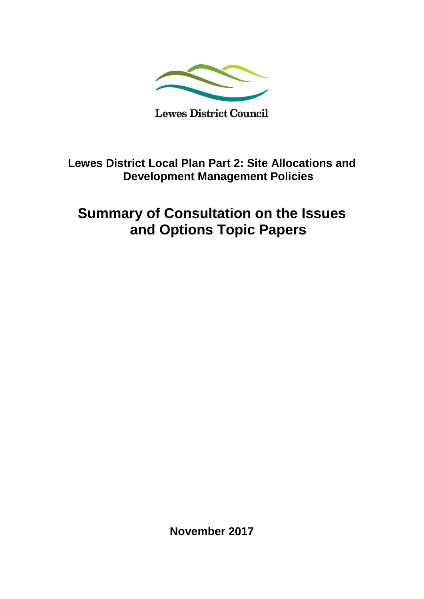

**Lewes District Local Plan Part 2: Site Allocations and Development Management Policies** 

# **Summary of Consultation on the Issues and Options Topic Papers**

**November 2017**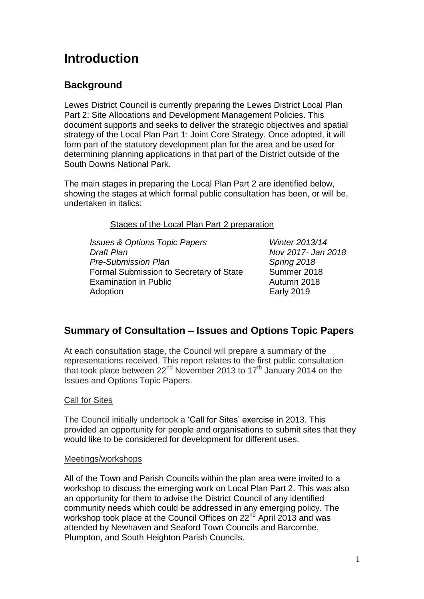# **Introduction**

# **Background**

Lewes District Council is currently preparing the Lewes District Local Plan Part 2: Site Allocations and Development Management Policies. This document supports and seeks to deliver the strategic objectives and spatial strategy of the Local Plan Part 1: Joint Core Strategy. Once adopted, it will form part of the statutory development plan for the area and be used for determining planning applications in that part of the District outside of the South Downs National Park.

The main stages in preparing the Local Plan Part 2 are identified below, showing the stages at which formal public consultation has been, or will be, undertaken in italics:

Stages of the Local Plan Part 2 preparation

*Issues & Options Topic Papers Winter 2013/14 Draft Plan Nov 2017- Jan 2018 Pre-Submission Plan Spring 2018* Formal Submission to Secretary of State Summer 2018 Examination in Public **Autumn 2018** Adoption **Early 2019** 

# **Summary of Consultation – Issues and Options Topic Papers**

At each consultation stage, the Council will prepare a summary of the representations received. This report relates to the first public consultation that took place between  $22<sup>nd</sup>$  November 2013 to 17<sup>th</sup> January 2014 on the Issues and Options Topic Papers.

# Call for Sites

The Council initially undertook a 'Call for Sites' exercise in 2013. This provided an opportunity for people and organisations to submit sites that they would like to be considered for development for different uses.

# Meetings/workshops

All of the Town and Parish Councils within the plan area were invited to a workshop to discuss the emerging work on Local Plan Part 2. This was also an opportunity for them to advise the District Council of any identified community needs which could be addressed in any emerging policy. The workshop took place at the Council Offices on 22<sup>nd</sup> April 2013 and was attended by Newhaven and Seaford Town Councils and Barcombe, Plumpton, and South Heighton Parish Councils.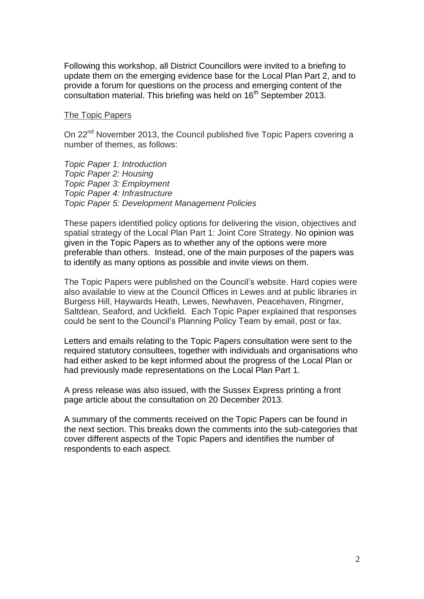Following this workshop, all District Councillors were invited to a briefing to update them on the emerging evidence base for the Local Plan Part 2, and to provide a forum for questions on the process and emerging content of the consultation material. This briefing was held on 16<sup>th</sup> September 2013.

#### The Topic Papers

On 22<sup>nd</sup> November 2013, the Council published five Topic Papers covering a number of themes, as follows:

*Topic Paper 1: Introduction Topic Paper 2: Housing Topic Paper 3: Employment Topic Paper 4: Infrastructure Topic Paper 5: Development Management Policies*

These papers identified policy options for delivering the vision, objectives and spatial strategy of the Local Plan Part 1: Joint Core Strategy. No opinion was given in the Topic Papers as to whether any of the options were more preferable than others. Instead, one of the main purposes of the papers was to identify as many options as possible and invite views on them.

The Topic Papers were published on the Council's website. Hard copies were also available to view at the Council Offices in Lewes and at public libraries in Burgess Hill, Haywards Heath, Lewes, Newhaven, Peacehaven, Ringmer, Saltdean, Seaford, and Uckfield. Each Topic Paper explained that responses could be sent to the Council's Planning Policy Team by email, post or fax.

Letters and emails relating to the Topic Papers consultation were sent to the required statutory consultees, together with individuals and organisations who had either asked to be kept informed about the progress of the Local Plan or had previously made representations on the Local Plan Part 1.

A press release was also issued, with the Sussex Express printing a front page article about the consultation on 20 December 2013.

A summary of the comments received on the Topic Papers can be found in the next section. This breaks down the comments into the sub-categories that cover different aspects of the Topic Papers and identifies the number of respondents to each aspect.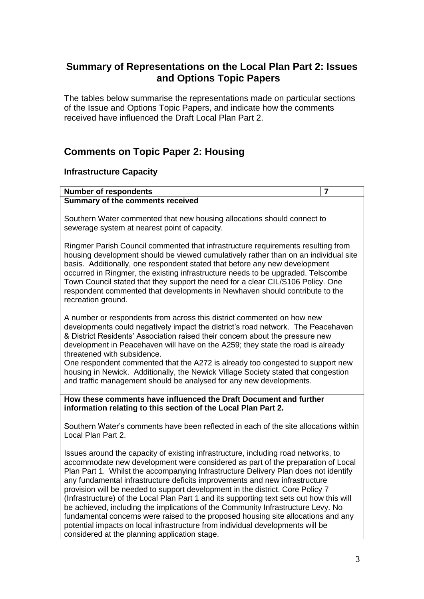# **Summary of Representations on the Local Plan Part 2: Issues and Options Topic Papers**

The tables below summarise the representations made on particular sections of the Issue and Options Topic Papers, and indicate how the comments received have influenced the Draft Local Plan Part 2.

# **Comments on Topic Paper 2: Housing**

# **Infrastructure Capacity**

#### **Number of respondents 7 Summary of the comments received**

Southern Water commented that new housing allocations should connect to sewerage system at nearest point of capacity.

Ringmer Parish Council commented that infrastructure requirements resulting from housing development should be viewed cumulatively rather than on an individual site basis. Additionally, one respondent stated that before any new development occurred in Ringmer, the existing infrastructure needs to be upgraded. Telscombe Town Council stated that they support the need for a clear CIL/S106 Policy. One respondent commented that developments in Newhaven should contribute to the recreation ground.

A number or respondents from across this district commented on how new developments could negatively impact the district's road network. The Peacehaven & District Residents' Association raised their concern about the pressure new development in Peacehaven will have on the A259; they state the road is already threatened with subsidence.

One respondent commented that the A272 is already too congested to support new housing in Newick. Additionally, the Newick Village Society stated that congestion and traffic management should be analysed for any new developments.

**How these comments have influenced the Draft Document and further information relating to this section of the Local Plan Part 2.**

Southern Water's comments have been reflected in each of the site allocations within Local Plan Part 2.

Issues around the capacity of existing infrastructure, including road networks, to accommodate new development were considered as part of the preparation of Local Plan Part 1. Whilst the accompanying Infrastructure Delivery Plan does not identify any fundamental infrastructure deficits improvements and new infrastructure provision will be needed to support development in the district. Core Policy 7 (Infrastructure) of the Local Plan Part 1 and its supporting text sets out how this will be achieved, including the implications of the Community Infrastructure Levy. No fundamental concerns were raised to the proposed housing site allocations and any potential impacts on local infrastructure from individual developments will be considered at the planning application stage.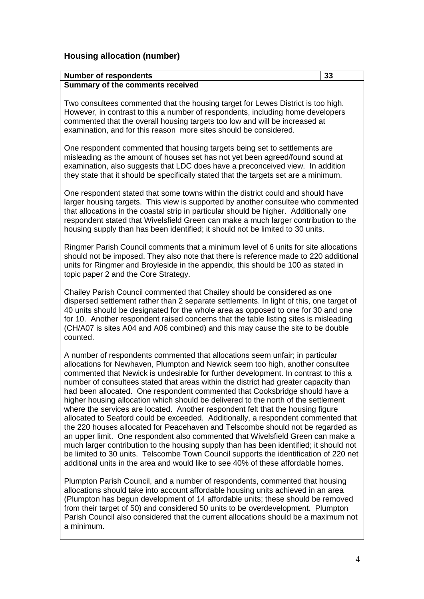#### **Number of respondents 33 Summary of the comments received**

Two consultees commented that the housing target for Lewes District is too high. However, in contrast to this a number of respondents, including home developers commented that the overall housing targets too low and will be increased at examination, and for this reason more sites should be considered.

One respondent commented that housing targets being set to settlements are misleading as the amount of houses set has not yet been agreed/found sound at examination, also suggests that LDC does have a preconceived view. In addition they state that it should be specifically stated that the targets set are a minimum.

One respondent stated that some towns within the district could and should have larger housing targets. This view is supported by another consultee who commented that allocations in the coastal strip in particular should be higher. Additionally one respondent stated that Wivelsfield Green can make a much larger contribution to the housing supply than has been identified; it should not be limited to 30 units.

Ringmer Parish Council comments that a minimum level of 6 units for site allocations should not be imposed. They also note that there is reference made to 220 additional units for Ringmer and Broyleside in the appendix, this should be 100 as stated in topic paper 2 and the Core Strategy.

Chailey Parish Council commented that Chailey should be considered as one dispersed settlement rather than 2 separate settlements. In light of this, one target of 40 units should be designated for the whole area as opposed to one for 30 and one for 10. Another respondent raised concerns that the table listing sites is misleading (CH/A07 is sites A04 and A06 combined) and this may cause the site to be double counted.

A number of respondents commented that allocations seem unfair; in particular allocations for Newhaven, Plumpton and Newick seem too high, another consultee commented that Newick is undesirable for further development. In contrast to this a number of consultees stated that areas within the district had greater capacity than had been allocated. One respondent commented that Cooksbridge should have a higher housing allocation which should be delivered to the north of the settlement where the services are located. Another respondent felt that the housing figure allocated to Seaford could be exceeded. Additionally, a respondent commented that the 220 houses allocated for Peacehaven and Telscombe should not be regarded as an upper limit. One respondent also commented that Wivelsfield Green can make a much larger contribution to the housing supply than has been identified; it should not be limited to 30 units. Telscombe Town Council supports the identification of 220 net additional units in the area and would like to see 40% of these affordable homes.

Plumpton Parish Council, and a number of respondents, commented that housing allocations should take into account affordable housing units achieved in an area (Plumpton has begun development of 14 affordable units; these should be removed from their target of 50) and considered 50 units to be overdevelopment. Plumpton Parish Council also considered that the current allocations should be a maximum not a minimum.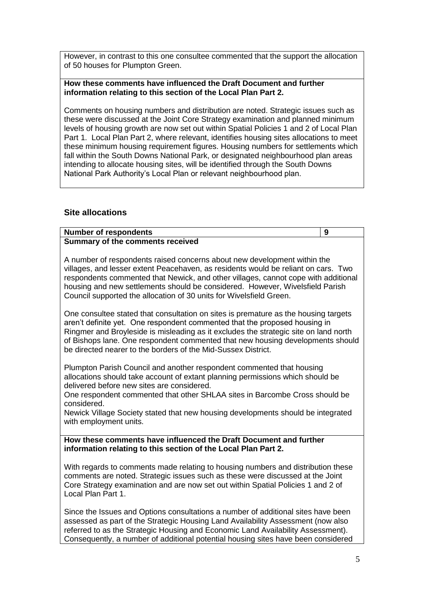However, in contrast to this one consultee commented that the support the allocation of 50 houses for Plumpton Green.

#### **How these comments have influenced the Draft Document and further information relating to this section of the Local Plan Part 2.**

Comments on housing numbers and distribution are noted. Strategic issues such as these were discussed at the Joint Core Strategy examination and planned minimum levels of housing growth are now set out within Spatial Policies 1 and 2 of Local Plan Part 1. Local Plan Part 2, where relevant, identifies housing sites allocations to meet these minimum housing requirement figures. Housing numbers for settlements which fall within the South Downs National Park, or designated neighbourhood plan areas intending to allocate housing sites, will be identified through the South Downs National Park Authority's Local Plan or relevant neighbourhood plan.

## **Site allocations**

| <b>Number of respondents</b>                                                                                                                                                                                                                                                                                                                                                                                      | 9 |
|-------------------------------------------------------------------------------------------------------------------------------------------------------------------------------------------------------------------------------------------------------------------------------------------------------------------------------------------------------------------------------------------------------------------|---|
| Summary of the comments received                                                                                                                                                                                                                                                                                                                                                                                  |   |
| A number of respondents raised concerns about new development within the<br>villages, and lesser extent Peacehaven, as residents would be reliant on cars. Two<br>respondents commented that Newick, and other villages, cannot cope with additional<br>housing and new settlements should be considered. However, Wivelsfield Parish<br>Council supported the allocation of 30 units for Wivelsfield Green.      |   |
| One consultee stated that consultation on sites is premature as the housing targets<br>aren't definite yet. One respondent commented that the proposed housing in<br>Ringmer and Broyleside is misleading as it excludes the strategic site on land north<br>of Bishops lane. One respondent commented that new housing developments should<br>be directed nearer to the borders of the Mid-Sussex District.      |   |
| Plumpton Parish Council and another respondent commented that housing<br>allocations should take account of extant planning permissions which should be<br>delivered before new sites are considered.<br>One respondent commented that other SHLAA sites in Barcombe Cross should be<br>considered.<br>Newick Village Society stated that new housing developments should be integrated<br>with employment units. |   |
| How these comments have influenced the Draft Document and further<br>information relating to this section of the Local Plan Part 2.                                                                                                                                                                                                                                                                               |   |
| With regards to comments made relating to housing numbers and distribution these<br>comments are noted. Strategic issues such as these were discussed at the Joint<br>Core Strategy examination and are now set out within Spatial Policies 1 and 2 of<br>Local Plan Part 1.                                                                                                                                      |   |

Since the Issues and Options consultations a number of additional sites have been assessed as part of the Strategic Housing Land Availability Assessment (now also referred to as the Strategic Housing and Economic Land Availability Assessment). Consequently, a number of additional potential housing sites have been considered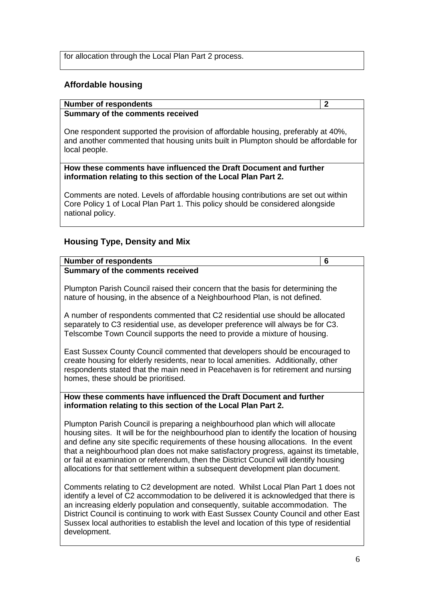for allocation through the Local Plan Part 2 process.

# **Affordable housing**

#### **Number of respondents 2**

## **Summary of the comments received**

One respondent supported the provision of affordable housing, preferably at 40%, and another commented that housing units built in Plumpton should be affordable for local people.

#### **How these comments have influenced the Draft Document and further information relating to this section of the Local Plan Part 2.**

Comments are noted. Levels of affordable housing contributions are set out within Core Policy 1 of Local Plan Part 1. This policy should be considered alongside national policy.

# **Housing Type, Density and Mix**

# **Number of respondents 6**

**Summary of the comments received**

Plumpton Parish Council raised their concern that the basis for determining the nature of housing, in the absence of a Neighbourhood Plan, is not defined.

A number of respondents commented that C2 residential use should be allocated separately to C3 residential use, as developer preference will always be for C3. Telscombe Town Council supports the need to provide a mixture of housing.

East Sussex County Council commented that developers should be encouraged to create housing for elderly residents, near to local amenities. Additionally, other respondents stated that the main need in Peacehaven is for retirement and nursing homes, these should be prioritised.

#### **How these comments have influenced the Draft Document and further information relating to this section of the Local Plan Part 2.**

Plumpton Parish Council is preparing a neighbourhood plan which will allocate housing sites. It will be for the neighbourhood plan to identify the location of housing and define any site specific requirements of these housing allocations. In the event that a neighbourhood plan does not make satisfactory progress, against its timetable, or fail at examination or referendum, then the District Council will identify housing allocations for that settlement within a subsequent development plan document.

Comments relating to C2 development are noted. Whilst Local Plan Part 1 does not identify a level of C2 accommodation to be delivered it is acknowledged that there is an increasing elderly population and consequently, suitable accommodation. The District Council is continuing to work with East Sussex County Council and other East Sussex local authorities to establish the level and location of this type of residential development.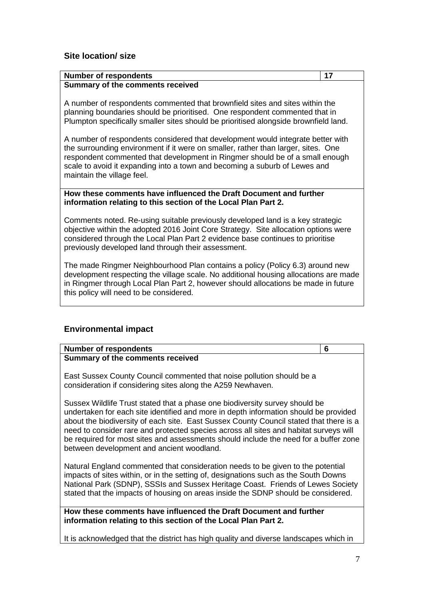# **Site location/ size**

#### **Number of respondents 17 Summary of the comments received**

A number of respondents commented that brownfield sites and sites within the planning boundaries should be prioritised. One respondent commented that in Plumpton specifically smaller sites should be prioritised alongside brownfield land.

A number of respondents considered that development would integrate better with the surrounding environment if it were on smaller, rather than larger, sites. One respondent commented that development in Ringmer should be of a small enough scale to avoid it expanding into a town and becoming a suburb of Lewes and maintain the village feel.

#### **How these comments have influenced the Draft Document and further information relating to this section of the Local Plan Part 2.**

Comments noted. Re-using suitable previously developed land is a key strategic objective within the adopted 2016 Joint Core Strategy. Site allocation options were considered through the Local Plan Part 2 evidence base continues to prioritise previously developed land through their assessment.

The made Ringmer Neighbourhood Plan contains a policy (Policy 6.3) around new development respecting the village scale. No additional housing allocations are made in Ringmer through Local Plan Part 2, however should allocations be made in future this policy will need to be considered.

# **Environmental impact**

| <b>Number of respondents</b>                                                                                                                                                                                                                                                                                                                                                                                                                                                                | 6 |
|---------------------------------------------------------------------------------------------------------------------------------------------------------------------------------------------------------------------------------------------------------------------------------------------------------------------------------------------------------------------------------------------------------------------------------------------------------------------------------------------|---|
| <b>Summary of the comments received</b>                                                                                                                                                                                                                                                                                                                                                                                                                                                     |   |
| East Sussex County Council commented that noise pollution should be a<br>consideration if considering sites along the A259 Newhaven.                                                                                                                                                                                                                                                                                                                                                        |   |
| Sussex Wildlife Trust stated that a phase one biodiversity survey should be<br>undertaken for each site identified and more in depth information should be provided<br>about the biodiversity of each site. East Sussex County Council stated that there is a<br>need to consider rare and protected species across all sites and habitat surveys will<br>be required for most sites and assessments should include the need for a buffer zone<br>between development and ancient woodland. |   |
| Natural England commented that consideration needs to be given to the potential<br>impacts of sites within, or in the setting of, designations such as the South Downs<br>National Park (SDNP), SSSIs and Sussex Heritage Coast. Friends of Lewes Society<br>stated that the impacts of housing on areas inside the SDNP should be considered.                                                                                                                                              |   |
| How these comments have influenced the Draft Document and further<br>information relating to this section of the Local Plan Part 2.                                                                                                                                                                                                                                                                                                                                                         |   |

It is acknowledged that the district has high quality and diverse landscapes which in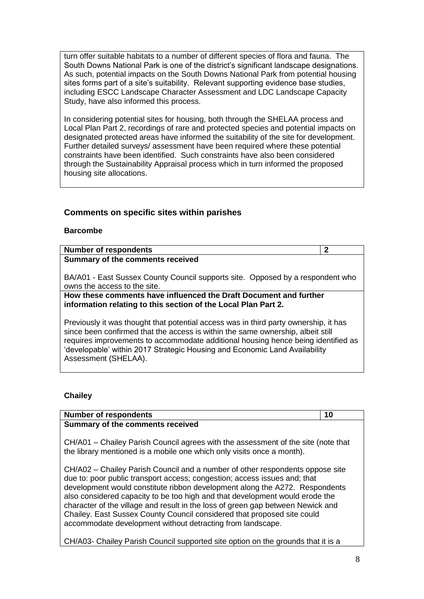turn offer suitable habitats to a number of different species of flora and fauna. The South Downs National Park is one of the district's significant landscape designations. As such, potential impacts on the South Downs National Park from potential housing sites forms part of a site's suitability. Relevant supporting evidence base studies, including ESCC Landscape Character Assessment and LDC Landscape Capacity Study, have also informed this process.

In considering potential sites for housing, both through the SHELAA process and Local Plan Part 2, recordings of rare and protected species and potential impacts on designated protected areas have informed the suitability of the site for development. Further detailed surveys/ assessment have been required where these potential constraints have been identified. Such constraints have also been considered through the Sustainability Appraisal process which in turn informed the proposed housing site allocations.

# **Comments on specific sites within parishes**

#### **Barcombe**

| <b>Number of respondents</b>                                                                                                                                                                                                                                                                                                                                       | 2 |
|--------------------------------------------------------------------------------------------------------------------------------------------------------------------------------------------------------------------------------------------------------------------------------------------------------------------------------------------------------------------|---|
| Summary of the comments received                                                                                                                                                                                                                                                                                                                                   |   |
| BA/A01 - East Sussex County Council supports site. Opposed by a respondent who<br>owns the access to the site.                                                                                                                                                                                                                                                     |   |
| How these comments have influenced the Draft Document and further<br>information relating to this section of the Local Plan Part 2.                                                                                                                                                                                                                                |   |
| Previously it was thought that potential access was in third party ownership, it has<br>since been confirmed that the access is within the same ownership, albeit still<br>requires improvements to accommodate additional housing hence being identified as<br>'developable' within 2017 Strategic Housing and Economic Land Availability<br>Assessment (SHELAA). |   |

#### **Chailey**

| <b>Number of respondents</b>                                                                                                                                                                                                                                                                                                                                                                                                                                                                                                                          | 10 |
|-------------------------------------------------------------------------------------------------------------------------------------------------------------------------------------------------------------------------------------------------------------------------------------------------------------------------------------------------------------------------------------------------------------------------------------------------------------------------------------------------------------------------------------------------------|----|
| Summary of the comments received                                                                                                                                                                                                                                                                                                                                                                                                                                                                                                                      |    |
| CH/A01 – Chailey Parish Council agrees with the assessment of the site (note that<br>the library mentioned is a mobile one which only visits once a month).                                                                                                                                                                                                                                                                                                                                                                                           |    |
| CH/A02 – Chailey Parish Council and a number of other respondents oppose site<br>due to: poor public transport access; congestion; access issues and; that<br>development would constitute ribbon development along the A272. Respondents<br>also considered capacity to be too high and that development would erode the<br>character of the village and result in the loss of green gap between Newick and<br>Chailey. East Sussex County Council considered that proposed site could<br>accommodate development without detracting from landscape. |    |

CH/A03- Chailey Parish Council supported site option on the grounds that it is a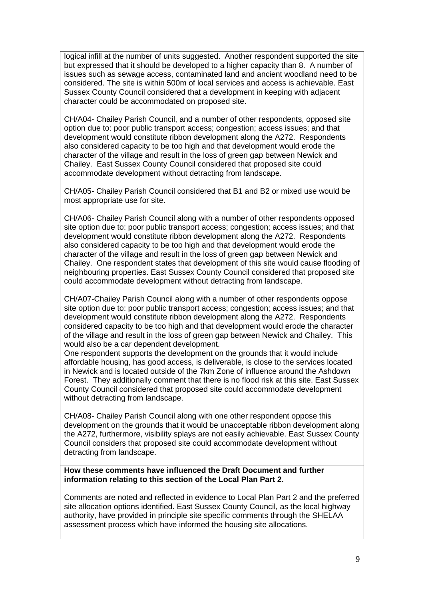logical infill at the number of units suggested. Another respondent supported the site but expressed that it should be developed to a higher capacity than 8. A number of issues such as sewage access, contaminated land and ancient woodland need to be considered. The site is within 500m of local services and access is achievable. East Sussex County Council considered that a development in keeping with adjacent character could be accommodated on proposed site.

CH/A04- Chailey Parish Council, and a number of other respondents, opposed site option due to: poor public transport access; congestion; access issues; and that development would constitute ribbon development along the A272. Respondents also considered capacity to be too high and that development would erode the character of the village and result in the loss of green gap between Newick and Chailey. East Sussex County Council considered that proposed site could accommodate development without detracting from landscape.

CH/A05- Chailey Parish Council considered that B1 and B2 or mixed use would be most appropriate use for site.

CH/A06- Chailey Parish Council along with a number of other respondents opposed site option due to: poor public transport access; congestion; access issues; and that development would constitute ribbon development along the A272. Respondents also considered capacity to be too high and that development would erode the character of the village and result in the loss of green gap between Newick and Chailey. One respondent states that development of this site would cause flooding of neighbouring properties. East Sussex County Council considered that proposed site could accommodate development without detracting from landscape.

CH/A07-Chailey Parish Council along with a number of other respondents oppose site option due to: poor public transport access; congestion; access issues; and that development would constitute ribbon development along the A272. Respondents considered capacity to be too high and that development would erode the character of the village and result in the loss of green gap between Newick and Chailey. This would also be a car dependent development.

One respondent supports the development on the grounds that it would include affordable housing, has good access, is deliverable, is close to the services located in Newick and is located outside of the 7km Zone of influence around the Ashdown Forest. They additionally comment that there is no flood risk at this site. East Sussex County Council considered that proposed site could accommodate development without detracting from landscape.

CH/A08- Chailey Parish Council along with one other respondent oppose this development on the grounds that it would be unacceptable ribbon development along the A272, furthermore, visibility splays are not easily achievable. East Sussex County Council considers that proposed site could accommodate development without detracting from landscape.

#### **How these comments have influenced the Draft Document and further information relating to this section of the Local Plan Part 2.**

Comments are noted and reflected in evidence to Local Plan Part 2 and the preferred site allocation options identified. East Sussex County Council, as the local highway authority, have provided in principle site specific comments through the SHELAA assessment process which have informed the housing site allocations.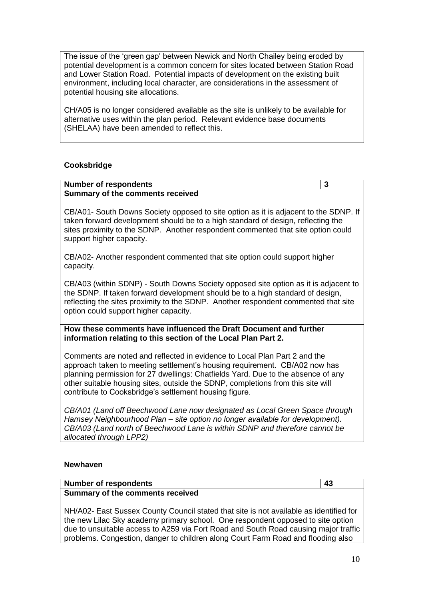The issue of the 'green gap' between Newick and North Chailey being eroded by potential development is a common concern for sites located between Station Road and Lower Station Road. Potential impacts of development on the existing built environment, including local character, are considerations in the assessment of potential housing site allocations.

CH/A05 is no longer considered available as the site is unlikely to be available for alternative uses within the plan period. Relevant evidence base documents (SHELAA) have been amended to reflect this.

## **Cooksbridge**

# **Number of respondents 3 Summary of the comments received** CB/A01- South Downs Society opposed to site option as it is adjacent to the SDNP. If taken forward development should be to a high standard of design, reflecting the sites proximity to the SDNP. Another respondent commented that site option could support higher capacity. CB/A02- Another respondent commented that site option could support higher capacity. CB/A03 (within SDNP) - South Downs Society opposed site option as it is adjacent to the SDNP. If taken forward development should be to a high standard of design, reflecting the sites proximity to the SDNP. Another respondent commented that site

#### **How these comments have influenced the Draft Document and further information relating to this section of the Local Plan Part 2.**

Comments are noted and reflected in evidence to Local Plan Part 2 and the approach taken to meeting settlement's housing requirement. CB/A02 now has planning permission for 27 dwellings: Chatfields Yard. Due to the absence of any other suitable housing sites, outside the SDNP, completions from this site will contribute to Cooksbridge's settlement housing figure.

*CB/A01 (Land off Beechwood Lane now designated as Local Green Space through Hamsey Neighbourhood Plan – site option no longer available for development). CB/A03 (Land north of Beechwood Lane is within SDNP and therefore cannot be allocated through LPP2)*

# **Newhaven**

#### **Number of respondents** 43 **Summary of the comments received**

option could support higher capacity.

NH/A02- East Sussex County Council stated that site is not available as identified for the new Lilac Sky academy primary school. One respondent opposed to site option due to unsuitable access to A259 via Fort Road and South Road causing major traffic problems. Congestion, danger to children along Court Farm Road and flooding also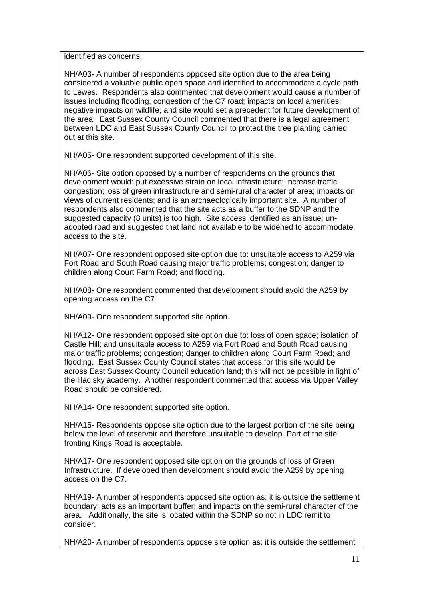identified as concerns.

NH/A03- A number of respondents opposed site option due to the area being considered a valuable public open space and identified to accommodate a cycle path to Lewes. Respondents also commented that development would cause a number of issues including flooding, congestion of the C7 road; impacts on local amenities; negative impacts on wildlife; and site would set a precedent for future development of the area. East Sussex County Council commented that there is a legal agreement between LDC and East Sussex County Council to protect the tree planting carried out at this site.

NH/A05- One respondent supported development of this site.

NH/A06- Site option opposed by a number of respondents on the grounds that development would: put excessive strain on local infrastructure; increase traffic congestion; loss of green infrastructure and semi-rural character of area; impacts on views of current residents; and is an archaeologically important site. A number of respondents also commented that the site acts as a buffer to the SDNP and the suggested capacity (8 units) is too high. Site access identified as an issue; unadopted road and suggested that land not available to be widened to accommodate access to the site.

NH/A07- One respondent opposed site option due to: unsuitable access to A259 via Fort Road and South Road causing major traffic problems; congestion; danger to children along Court Farm Road; and flooding.

NH/A08- One respondent commented that development should avoid the A259 by opening access on the C7.

NH/A09- One respondent supported site option.

NH/A12- One respondent opposed site option due to: loss of open space; isolation of Castle Hill; and unsuitable access to A259 via Fort Road and South Road causing major traffic problems; congestion; danger to children along Court Farm Road; and flooding. East Sussex County Council states that access for this site would be across East Sussex County Council education land; this will not be possible in light of the lilac sky academy. Another respondent commented that access via Upper Valley Road should be considered.

NH/A14- One respondent supported site option.

NH/A15- Respondents oppose site option due to the largest portion of the site being below the level of reservoir and therefore unsuitable to develop. Part of the site fronting Kings Road is acceptable.

NH/A17- One respondent opposed site option on the grounds of loss of Green Infrastructure. If developed then development should avoid the A259 by opening access on the C7.

NH/A19- A number of respondents opposed site option as: it is outside the settlement boundary; acts as an important buffer; and impacts on the semi-rural character of the area. Additionally, the site is located within the SDNP so not in LDC remit to consider.

NH/A20- A number of respondents oppose site option as: it is outside the settlement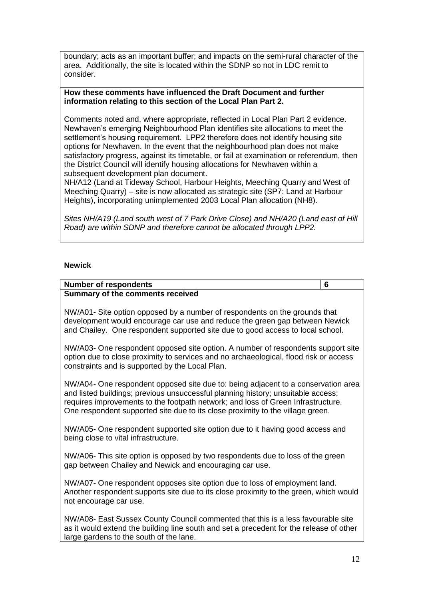boundary; acts as an important buffer; and impacts on the semi-rural character of the area. Additionally, the site is located within the SDNP so not in LDC remit to consider.

#### **How these comments have influenced the Draft Document and further information relating to this section of the Local Plan Part 2.**

Comments noted and, where appropriate, reflected in Local Plan Part 2 evidence. Newhaven's emerging Neighbourhood Plan identifies site allocations to meet the settlement's housing requirement. LPP2 therefore does not identify housing site options for Newhaven. In the event that the neighbourhood plan does not make satisfactory progress, against its timetable, or fail at examination or referendum, then the District Council will identify housing allocations for Newhaven within a subsequent development plan document.

NH/A12 (Land at Tideway School, Harbour Heights, Meeching Quarry and West of Meeching Quarry) – site is now allocated as strategic site (SP7: Land at Harbour Heights), incorporating unimplemented 2003 Local Plan allocation (NH8).

*Sites NH/A19 (Land south west of 7 Park Drive Close) and NH/A20 (Land east of Hill Road) are within SDNP and therefore cannot be allocated through LPP2.*

#### **Newick**

#### **Number of respondents 6**

#### **Summary of the comments received**

NW/A01- Site option opposed by a number of respondents on the grounds that development would encourage car use and reduce the green gap between Newick and Chailey. One respondent supported site due to good access to local school.

NW/A03- One respondent opposed site option. A number of respondents support site option due to close proximity to services and no archaeological, flood risk or access constraints and is supported by the Local Plan.

NW/A04- One respondent opposed site due to: being adjacent to a conservation area and listed buildings; previous unsuccessful planning history; unsuitable access; requires improvements to the footpath network; and loss of Green Infrastructure. One respondent supported site due to its close proximity to the village green.

NW/A05- One respondent supported site option due to it having good access and being close to vital infrastructure.

NW/A06- This site option is opposed by two respondents due to loss of the green gap between Chailey and Newick and encouraging car use.

NW/A07- One respondent opposes site option due to loss of employment land. Another respondent supports site due to its close proximity to the green, which would not encourage car use.

NW/A08- East Sussex County Council commented that this is a less favourable site as it would extend the building line south and set a precedent for the release of other large gardens to the south of the lane.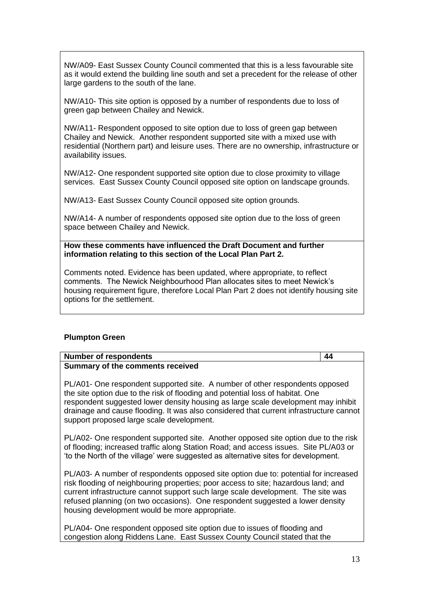NW/A09- East Sussex County Council commented that this is a less favourable site as it would extend the building line south and set a precedent for the release of other large gardens to the south of the lane.

NW/A10- This site option is opposed by a number of respondents due to loss of green gap between Chailey and Newick.

NW/A11- Respondent opposed to site option due to loss of green gap between Chailey and Newick. Another respondent supported site with a mixed use with residential (Northern part) and leisure uses. There are no ownership, infrastructure or availability issues.

NW/A12- One respondent supported site option due to close proximity to village services. East Sussex County Council opposed site option on landscape grounds.

NW/A13- East Sussex County Council opposed site option grounds.

NW/A14- A number of respondents opposed site option due to the loss of green space between Chailey and Newick.

**How these comments have influenced the Draft Document and further information relating to this section of the Local Plan Part 2.**

Comments noted. Evidence has been updated, where appropriate, to reflect comments. The Newick Neighbourhood Plan allocates sites to meet Newick's housing requirement figure, therefore Local Plan Part 2 does not identify housing site options for the settlement.

#### **Plumpton Green**

#### **Number of respondents 44 Summary of the comments received**

PL/A01- One respondent supported site. A number of other respondents opposed the site option due to the risk of flooding and potential loss of habitat. One respondent suggested lower density housing as large scale development may inhibit drainage and cause flooding. It was also considered that current infrastructure cannot support proposed large scale development.

PL/A02- One respondent supported site. Another opposed site option due to the risk of flooding; increased traffic along Station Road; and access issues. Site PL/A03 or 'to the North of the village' were suggested as alternative sites for development.

PL/A03- A number of respondents opposed site option due to: potential for increased risk flooding of neighbouring properties; poor access to site; hazardous land; and current infrastructure cannot support such large scale development. The site was refused planning (on two occasions). One respondent suggested a lower density housing development would be more appropriate.

PL/A04- One respondent opposed site option due to issues of flooding and congestion along Riddens Lane. East Sussex County Council stated that the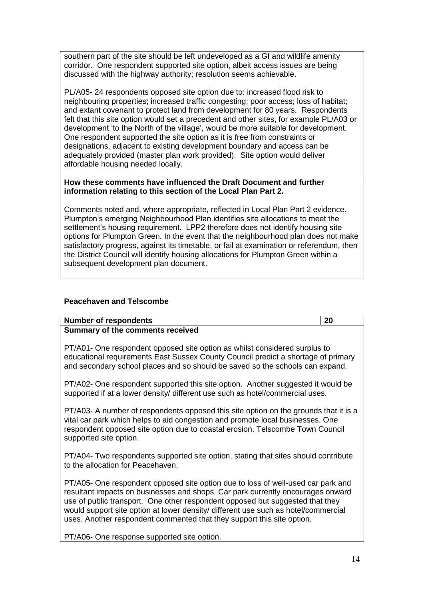southern part of the site should be left undeveloped as a GI and wildlife amenity corridor. One respondent supported site option, albeit access issues are being discussed with the highway authority; resolution seems achievable.

PL/A05- 24 respondents opposed site option due to: increased flood risk to neighbouring properties; increased traffic congesting; poor access; loss of habitat; and extant covenant to protect land from development for 80 years. Respondents felt that this site option would set a precedent and other sites, for example PL/A03 or development 'to the North of the village', would be more suitable for development. One respondent supported the site option as it is free from constraints or designations, adjacent to existing development boundary and access can be adequately provided (master plan work provided). Site option would deliver affordable housing needed locally.

#### **How these comments have influenced the Draft Document and further information relating to this section of the Local Plan Part 2.**

Comments noted and, where appropriate, reflected in Local Plan Part 2 evidence. Plumpton's emerging Neighbourhood Plan identifies site allocations to meet the settlement's housing requirement. LPP2 therefore does not identify housing site options for Plumpton Green. In the event that the neighbourhood plan does not make satisfactory progress, against its timetable, or fail at examination or referendum, then the District Council will identify housing allocations for Plumpton Green within a subsequent development plan document.

# **Peacehaven and Telscombe**

#### **Number of respondents 20 Summary of the comments received**

PT/A01- One respondent opposed site option as whilst considered surplus to educational requirements East Sussex County Council predict a shortage of primary and secondary school places and so should be saved so the schools can expand.

PT/A02- One respondent supported this site option. Another suggested it would be supported if at a lower density/ different use such as hotel/commercial uses.

PT/A03- A number of respondents opposed this site option on the grounds that it is a vital car park which helps to aid congestion and promote local businesses. One respondent opposed site option due to coastal erosion. Telscombe Town Council supported site option.

PT/A04- Two respondents supported site option, stating that sites should contribute to the allocation for Peacehaven.

PT/A05- One respondent opposed site option due to loss of well-used car park and resultant impacts on businesses and shops. Car park currently encourages onward use of public transport. One other respondent opposed but suggested that they would support site option at lower density/ different use such as hotel/commercial uses. Another respondent commented that they support this site option.

PT/A06- One response supported site option.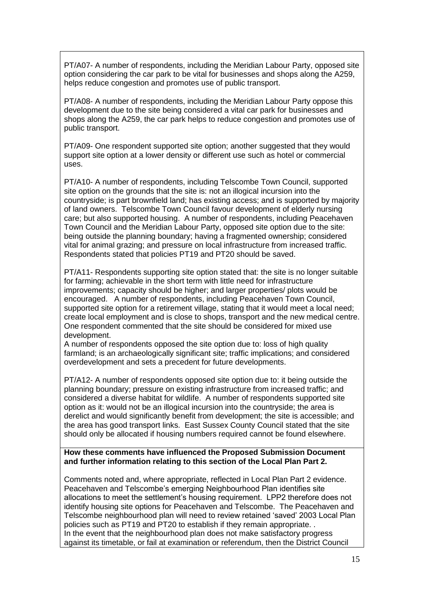PT/A07- A number of respondents, including the Meridian Labour Party, opposed site option considering the car park to be vital for businesses and shops along the A259, helps reduce congestion and promotes use of public transport.

PT/A08- A number of respondents, including the Meridian Labour Party oppose this development due to the site being considered a vital car park for businesses and shops along the A259, the car park helps to reduce congestion and promotes use of public transport.

PT/A09- One respondent supported site option; another suggested that they would support site option at a lower density or different use such as hotel or commercial uses.

PT/A10- A number of respondents, including Telscombe Town Council, supported site option on the grounds that the site is: not an illogical incursion into the countryside; is part brownfield land; has existing access; and is supported by majority of land owners. Telscombe Town Council favour development of elderly nursing care; but also supported housing. A number of respondents, including Peacehaven Town Council and the Meridian Labour Party, opposed site option due to the site: being outside the planning boundary; having a fragmented ownership; considered vital for animal grazing; and pressure on local infrastructure from increased traffic. Respondents stated that policies PT19 and PT20 should be saved.

PT/A11- Respondents supporting site option stated that: the site is no longer suitable for farming; achievable in the short term with little need for infrastructure improvements; capacity should be higher; and larger properties/ plots would be encouraged. A number of respondents, including Peacehaven Town Council, supported site option for a retirement village, stating that it would meet a local need; create local employment and is close to shops, transport and the new medical centre. One respondent commented that the site should be considered for mixed use development.

A number of respondents opposed the site option due to: loss of high quality farmland; is an archaeologically significant site; traffic implications; and considered overdevelopment and sets a precedent for future developments.

PT/A12- A number of respondents opposed site option due to: it being outside the planning boundary; pressure on existing infrastructure from increased traffic; and considered a diverse habitat for wildlife. A number of respondents supported site option as it: would not be an illogical incursion into the countryside; the area is derelict and would significantly benefit from development; the site is accessible; and the area has good transport links. East Sussex County Council stated that the site should only be allocated if housing numbers required cannot be found elsewhere.

#### **How these comments have influenced the Proposed Submission Document and further information relating to this section of the Local Plan Part 2.**

Comments noted and, where appropriate, reflected in Local Plan Part 2 evidence. Peacehaven and Telscombe's emerging Neighbourhood Plan identifies site allocations to meet the settlement's housing requirement. LPP2 therefore does not identify housing site options for Peacehaven and Telscombe. The Peacehaven and Telscombe neighbourhood plan will need to review retained 'saved' 2003 Local Plan policies such as PT19 and PT20 to establish if they remain appropriate. . In the event that the neighbourhood plan does not make satisfactory progress against its timetable, or fail at examination or referendum, then the District Council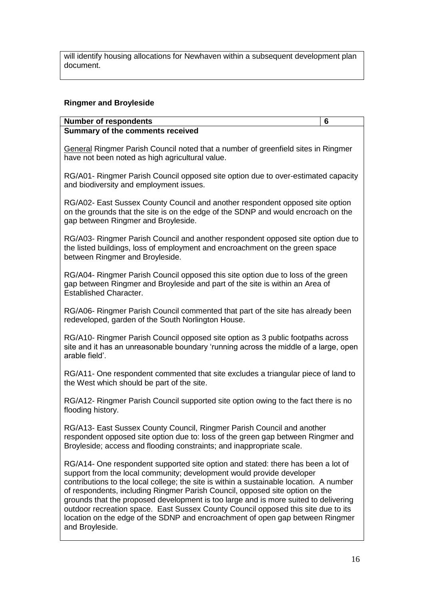will identify housing allocations for Newhaven within a subsequent development plan document.

## **Ringmer and Broyleside**

#### **Number of respondents 6 Summary of the comments received**

General Ringmer Parish Council noted that a number of greenfield sites in Ringmer have not been noted as high agricultural value.

RG/A01- Ringmer Parish Council opposed site option due to over-estimated capacity and biodiversity and employment issues.

RG/A02- East Sussex County Council and another respondent opposed site option on the grounds that the site is on the edge of the SDNP and would encroach on the gap between Ringmer and Broyleside.

RG/A03- Ringmer Parish Council and another respondent opposed site option due to the listed buildings, loss of employment and encroachment on the green space between Ringmer and Broyleside.

RG/A04- Ringmer Parish Council opposed this site option due to loss of the green gap between Ringmer and Broyleside and part of the site is within an Area of Established Character.

RG/A06- Ringmer Parish Council commented that part of the site has already been redeveloped, garden of the South Norlington House.

RG/A10- Ringmer Parish Council opposed site option as 3 public footpaths across site and it has an unreasonable boundary 'running across the middle of a large, open arable field'.

RG/A11- One respondent commented that site excludes a triangular piece of land to the West which should be part of the site.

RG/A12- Ringmer Parish Council supported site option owing to the fact there is no flooding history.

RG/A13- East Sussex County Council, Ringmer Parish Council and another respondent opposed site option due to: loss of the green gap between Ringmer and Broyleside; access and flooding constraints; and inappropriate scale.

RG/A14- One respondent supported site option and stated: there has been a lot of support from the local community; development would provide developer contributions to the local college; the site is within a sustainable location. A number of respondents, including Ringmer Parish Council, opposed site option on the grounds that the proposed development is too large and is more suited to delivering outdoor recreation space. East Sussex County Council opposed this site due to its location on the edge of the SDNP and encroachment of open gap between Ringmer and Broyleside.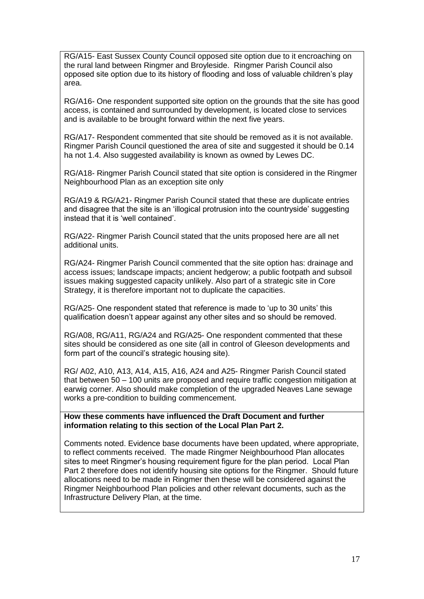RG/A15- East Sussex County Council opposed site option due to it encroaching on the rural land between Ringmer and Broyleside. Ringmer Parish Council also opposed site option due to its history of flooding and loss of valuable children's play area.

RG/A16- One respondent supported site option on the grounds that the site has good access, is contained and surrounded by development, is located close to services and is available to be brought forward within the next five years.

RG/A17- Respondent commented that site should be removed as it is not available. Ringmer Parish Council questioned the area of site and suggested it should be 0.14 ha not 1.4. Also suggested availability is known as owned by Lewes DC.

RG/A18- Ringmer Parish Council stated that site option is considered in the Ringmer Neighbourhood Plan as an exception site only

RG/A19 & RG/A21- Ringmer Parish Council stated that these are duplicate entries and disagree that the site is an 'illogical protrusion into the countryside' suggesting instead that it is 'well contained'.

RG/A22- Ringmer Parish Council stated that the units proposed here are all net additional units.

RG/A24- Ringmer Parish Council commented that the site option has: drainage and access issues; landscape impacts; ancient hedgerow; a public footpath and subsoil issues making suggested capacity unlikely. Also part of a strategic site in Core Strategy, it is therefore important not to duplicate the capacities.

RG/A25- One respondent stated that reference is made to 'up to 30 units' this qualification doesn't appear against any other sites and so should be removed.

RG/A08, RG/A11, RG/A24 and RG/A25- One respondent commented that these sites should be considered as one site (all in control of Gleeson developments and form part of the council's strategic housing site).

RG/ A02, A10, A13, A14, A15, A16, A24 and A25- Ringmer Parish Council stated that between 50 – 100 units are proposed and require traffic congestion mitigation at earwig corner. Also should make completion of the upgraded Neaves Lane sewage works a pre-condition to building commencement.

**How these comments have influenced the Draft Document and further information relating to this section of the Local Plan Part 2.**

Comments noted. Evidence base documents have been updated, where appropriate, to reflect comments received. The made Ringmer Neighbourhood Plan allocates sites to meet Ringmer's housing requirement figure for the plan period. Local Plan Part 2 therefore does not identify housing site options for the Ringmer. Should future allocations need to be made in Ringmer then these will be considered against the Ringmer Neighbourhood Plan policies and other relevant documents, such as the Infrastructure Delivery Plan, at the time.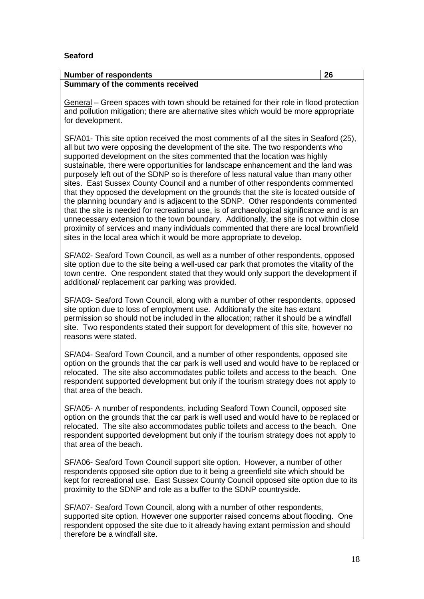## **Seaford**

| <b>Number of respondents</b>     | 26 |
|----------------------------------|----|
| Summary of the comments received |    |

General – Green spaces with town should be retained for their role in flood protection and pollution mitigation; there are alternative sites which would be more appropriate for development.

SF/A01- This site option received the most comments of all the sites in Seaford (25), all but two were opposing the development of the site. The two respondents who supported development on the sites commented that the location was highly sustainable, there were opportunities for landscape enhancement and the land was purposely left out of the SDNP so is therefore of less natural value than many other sites. East Sussex County Council and a number of other respondents commented that they opposed the development on the grounds that the site is located outside of the planning boundary and is adjacent to the SDNP. Other respondents commented that the site is needed for recreational use, is of archaeological significance and is an unnecessary extension to the town boundary. Additionally, the site is not within close proximity of services and many individuals commented that there are local brownfield sites in the local area which it would be more appropriate to develop.

SF/A02- Seaford Town Council, as well as a number of other respondents, opposed site option due to the site being a well-used car park that promotes the vitality of the town centre. One respondent stated that they would only support the development if additional/ replacement car parking was provided.

SF/A03- Seaford Town Council, along with a number of other respondents, opposed site option due to loss of employment use. Additionally the site has extant permission so should not be included in the allocation; rather it should be a windfall site. Two respondents stated their support for development of this site, however no reasons were stated.

SF/A04- Seaford Town Council, and a number of other respondents, opposed site option on the grounds that the car park is well used and would have to be replaced or relocated. The site also accommodates public toilets and access to the beach. One respondent supported development but only if the tourism strategy does not apply to that area of the beach.

SF/A05- A number of respondents, including Seaford Town Council, opposed site option on the grounds that the car park is well used and would have to be replaced or relocated. The site also accommodates public toilets and access to the beach. One respondent supported development but only if the tourism strategy does not apply to that area of the beach.

SF/A06- Seaford Town Council support site option. However, a number of other respondents opposed site option due to it being a greenfield site which should be kept for recreational use. East Sussex County Council opposed site option due to its proximity to the SDNP and role as a buffer to the SDNP countryside.

SF/A07- Seaford Town Council, along with a number of other respondents, supported site option. However one supporter raised concerns about flooding. One respondent opposed the site due to it already having extant permission and should therefore be a windfall site.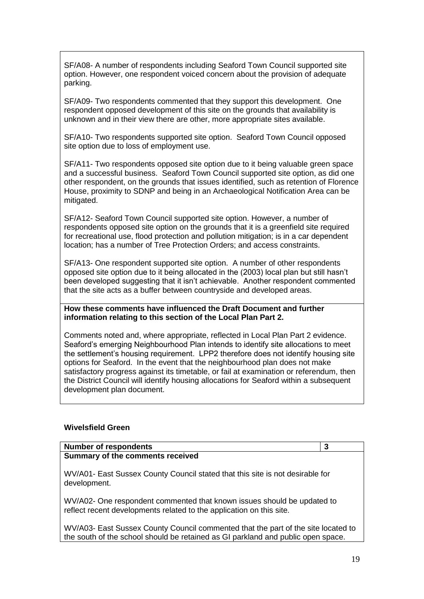SF/A08- A number of respondents including Seaford Town Council supported site option. However, one respondent voiced concern about the provision of adequate parking.

SF/A09- Two respondents commented that they support this development. One respondent opposed development of this site on the grounds that availability is unknown and in their view there are other, more appropriate sites available.

SF/A10- Two respondents supported site option. Seaford Town Council opposed site option due to loss of employment use.

SF/A11- Two respondents opposed site option due to it being valuable green space and a successful business. Seaford Town Council supported site option, as did one other respondent, on the grounds that issues identified, such as retention of Florence House, proximity to SDNP and being in an Archaeological Notification Area can be mitigated.

SF/A12- Seaford Town Council supported site option. However, a number of respondents opposed site option on the grounds that it is a greenfield site required for recreational use, flood protection and pollution mitigation; is in a car dependent location; has a number of Tree Protection Orders; and access constraints.

SF/A13- One respondent supported site option. A number of other respondents opposed site option due to it being allocated in the (2003) local plan but still hasn't been developed suggesting that it isn't achievable. Another respondent commented that the site acts as a buffer between countryside and developed areas.

**How these comments have influenced the Draft Document and further information relating to this section of the Local Plan Part 2.**

Comments noted and, where appropriate, reflected in Local Plan Part 2 evidence. Seaford's emerging Neighbourhood Plan intends to identify site allocations to meet the settlement's housing requirement. LPP2 therefore does not identify housing site options for Seaford. In the event that the neighbourhood plan does not make satisfactory progress against its timetable, or fail at examination or referendum, then the District Council will identify housing allocations for Seaford within a subsequent development plan document.

#### **Wivelsfield Green**

| <b>Number of respondents</b>                                                                                                                    | 3 |
|-------------------------------------------------------------------------------------------------------------------------------------------------|---|
| Summary of the comments received                                                                                                                |   |
| WV/A01- East Sussex County Council stated that this site is not desirable for<br>development.                                                   |   |
| WV/A02- One respondent commented that known issues should be updated to<br>reflect recent developments related to the application on this site. |   |

WV/A03- East Sussex County Council commented that the part of the site located to the south of the school should be retained as GI parkland and public open space.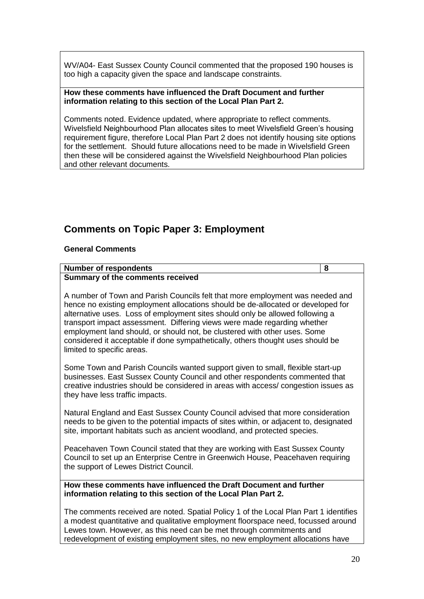WV/A04- East Sussex County Council commented that the proposed 190 houses is too high a capacity given the space and landscape constraints.

#### **How these comments have influenced the Draft Document and further information relating to this section of the Local Plan Part 2.**

Comments noted. Evidence updated, where appropriate to reflect comments. Wivelsfield Neighbourhood Plan allocates sites to meet Wivelsfield Green's housing requirement figure, therefore Local Plan Part 2 does not identify housing site options for the settlement. Should future allocations need to be made in Wivelsfield Green then these will be considered against the Wivelsfield Neighbourhood Plan policies and other relevant documents.

# **Comments on Topic Paper 3: Employment**

# **General Comments**

#### **Number of respondents 8 Summary of the comments received**

A number of Town and Parish Councils felt that more employment was needed and hence no existing employment allocations should be de-allocated or developed for alternative uses. Loss of employment sites should only be allowed following a transport impact assessment. Differing views were made regarding whether employment land should, or should not, be clustered with other uses. Some considered it acceptable if done sympathetically, others thought uses should be limited to specific areas.

Some Town and Parish Councils wanted support given to small, flexible start-up businesses. East Sussex County Council and other respondents commented that creative industries should be considered in areas with access/ congestion issues as they have less traffic impacts.

Natural England and East Sussex County Council advised that more consideration needs to be given to the potential impacts of sites within, or adjacent to, designated site, important habitats such as ancient woodland, and protected species.

Peacehaven Town Council stated that they are working with East Sussex County Council to set up an Enterprise Centre in Greenwich House, Peacehaven requiring the support of Lewes District Council.

#### **How these comments have influenced the Draft Document and further information relating to this section of the Local Plan Part 2.**

The comments received are noted. Spatial Policy 1 of the Local Plan Part 1 identifies a modest quantitative and qualitative employment floorspace need, focussed around Lewes town. However, as this need can be met through commitments and redevelopment of existing employment sites, no new employment allocations have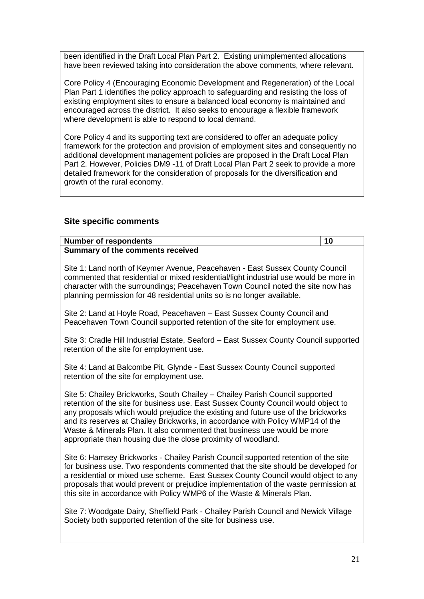been identified in the Draft Local Plan Part 2. Existing unimplemented allocations have been reviewed taking into consideration the above comments, where relevant.

Core Policy 4 (Encouraging Economic Development and Regeneration) of the Local Plan Part 1 identifies the policy approach to safeguarding and resisting the loss of existing employment sites to ensure a balanced local economy is maintained and encouraged across the district. It also seeks to encourage a flexible framework where development is able to respond to local demand.

Core Policy 4 and its supporting text are considered to offer an adequate policy framework for the protection and provision of employment sites and consequently no additional development management policies are proposed in the Draft Local Plan Part 2. However, Policies DM9 -11 of Draft Local Plan Part 2 seek to provide a more detailed framework for the consideration of proposals for the diversification and growth of the rural economy.

# **Site specific comments**

| <b>Number of respondents</b>                                                                                                                                                                                                                                                                                                                                                                                                                                                           | 10 |
|----------------------------------------------------------------------------------------------------------------------------------------------------------------------------------------------------------------------------------------------------------------------------------------------------------------------------------------------------------------------------------------------------------------------------------------------------------------------------------------|----|
| Summary of the comments received                                                                                                                                                                                                                                                                                                                                                                                                                                                       |    |
| Site 1: Land north of Keymer Avenue, Peacehaven - East Sussex County Council<br>commented that residential or mixed residential/light industrial use would be more in<br>character with the surroundings; Peacehaven Town Council noted the site now has<br>planning permission for 48 residential units so is no longer available.                                                                                                                                                    |    |
| Site 2: Land at Hoyle Road, Peacehaven - East Sussex County Council and<br>Peacehaven Town Council supported retention of the site for employment use.                                                                                                                                                                                                                                                                                                                                 |    |
| Site 3: Cradle Hill Industrial Estate, Seaford - East Sussex County Council supported<br>retention of the site for employment use.                                                                                                                                                                                                                                                                                                                                                     |    |
| Site 4: Land at Balcombe Pit, Glynde - East Sussex County Council supported<br>retention of the site for employment use.                                                                                                                                                                                                                                                                                                                                                               |    |
| Site 5: Chailey Brickworks, South Chailey - Chailey Parish Council supported<br>retention of the site for business use. East Sussex County Council would object to<br>any proposals which would prejudice the existing and future use of the brickworks<br>and its reserves at Chailey Brickworks, in accordance with Policy WMP14 of the<br>Waste & Minerals Plan. It also commented that business use would be more<br>appropriate than housing due the close proximity of woodland. |    |
| Site 6: Hamsey Brickworks - Chailey Parish Council supported retention of the site<br>for business use. Two respondents commented that the site should be developed for<br>a residential or mixed use scheme. East Sussex County Council would object to any<br>proposals that would prevent or prejudice implementation of the waste permission at<br>this site in accordance with Policy WMP6 of the Waste & Minerals Plan.                                                          |    |

Site 7: Woodgate Dairy, Sheffield Park - Chailey Parish Council and Newick Village Society both supported retention of the site for business use.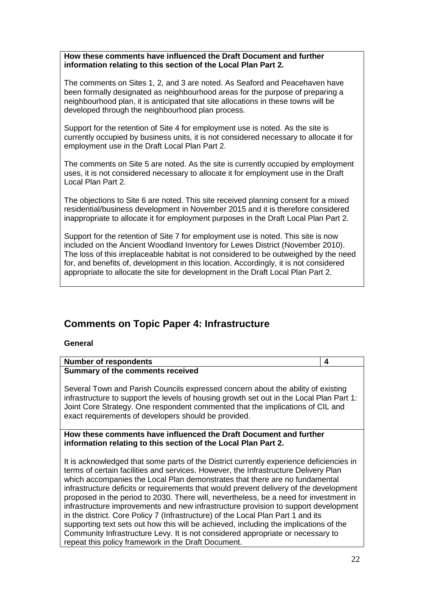**How these comments have influenced the Draft Document and further information relating to this section of the Local Plan Part 2.**

The comments on Sites 1, 2, and 3 are noted. As Seaford and Peacehaven have been formally designated as neighbourhood areas for the purpose of preparing a neighbourhood plan, it is anticipated that site allocations in these towns will be developed through the neighbourhood plan process.

Support for the retention of Site 4 for employment use is noted. As the site is currently occupied by business units, it is not considered necessary to allocate it for employment use in the Draft Local Plan Part 2.

The comments on Site 5 are noted. As the site is currently occupied by employment uses, it is not considered necessary to allocate it for employment use in the Draft Local Plan Part 2.

The objections to Site 6 are noted. This site received planning consent for a mixed residential/business development in November 2015 and it is therefore considered inappropriate to allocate it for employment purposes in the Draft Local Plan Part 2.

Support for the retention of Site 7 for employment use is noted. This site is now included on the Ancient Woodland Inventory for Lewes District (November 2010). The loss of this irreplaceable habitat is not considered to be outweighed by the need for, and benefits of, development in this location. Accordingly, it is not considered appropriate to allocate the site for development in the Draft Local Plan Part 2.

# **Comments on Topic Paper 4: Infrastructure**

#### **General**

| <b>Number of respondents</b>                                                                                                                                                                                                                                                                                                                                                                                                                                                                                                                                                                                                                                                                                                                                                                                                                                   | 4 |
|----------------------------------------------------------------------------------------------------------------------------------------------------------------------------------------------------------------------------------------------------------------------------------------------------------------------------------------------------------------------------------------------------------------------------------------------------------------------------------------------------------------------------------------------------------------------------------------------------------------------------------------------------------------------------------------------------------------------------------------------------------------------------------------------------------------------------------------------------------------|---|
| <b>Summary of the comments received</b>                                                                                                                                                                                                                                                                                                                                                                                                                                                                                                                                                                                                                                                                                                                                                                                                                        |   |
| Several Town and Parish Councils expressed concern about the ability of existing<br>infrastructure to support the levels of housing growth set out in the Local Plan Part 1:<br>Joint Core Strategy. One respondent commented that the implications of CIL and<br>exact requirements of developers should be provided.                                                                                                                                                                                                                                                                                                                                                                                                                                                                                                                                         |   |
| How these comments have influenced the Draft Document and further                                                                                                                                                                                                                                                                                                                                                                                                                                                                                                                                                                                                                                                                                                                                                                                              |   |
| information relating to this section of the Local Plan Part 2.                                                                                                                                                                                                                                                                                                                                                                                                                                                                                                                                                                                                                                                                                                                                                                                                 |   |
| It is acknowledged that some parts of the District currently experience deficiencies in<br>terms of certain facilities and services. However, the Infrastructure Delivery Plan<br>which accompanies the Local Plan demonstrates that there are no fundamental<br>infrastructure deficits or requirements that would prevent delivery of the development<br>proposed in the period to 2030. There will, nevertheless, be a need for investment in<br>infrastructure improvements and new infrastructure provision to support development<br>in the district. Core Policy 7 (Infrastructure) of the Local Plan Part 1 and its<br>supporting text sets out how this will be achieved, including the implications of the<br>Community Infrastructure Levy. It is not considered appropriate or necessary to<br>repeat this policy framework in the Draft Document. |   |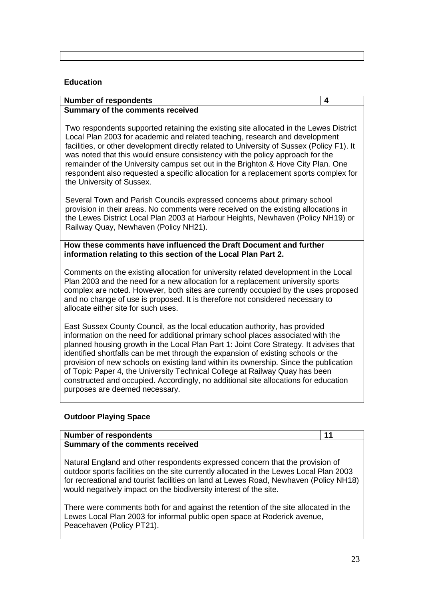#### **Education**

# **Number of respondents 4**

#### **Summary of the comments received**

Two respondents supported retaining the existing site allocated in the Lewes District Local Plan 2003 for academic and related teaching, research and development facilities, or other development directly related to University of Sussex (Policy F1). It was noted that this would ensure consistency with the policy approach for the remainder of the University campus set out in the Brighton & Hove City Plan. One respondent also requested a specific allocation for a replacement sports complex for the University of Sussex.

Several Town and Parish Councils expressed concerns about primary school provision in their areas. No comments were received on the existing allocations in the Lewes District Local Plan 2003 at Harbour Heights, Newhaven (Policy NH19) or Railway Quay, Newhaven (Policy NH21).

#### **How these comments have influenced the Draft Document and further information relating to this section of the Local Plan Part 2.**

Comments on the existing allocation for university related development in the Local Plan 2003 and the need for a new allocation for a replacement university sports complex are noted. However, both sites are currently occupied by the uses proposed and no change of use is proposed. It is therefore not considered necessary to allocate either site for such uses.

East Sussex County Council, as the local education authority, has provided information on the need for additional primary school places associated with the planned housing growth in the Local Plan Part 1: Joint Core Strategy. It advises that identified shortfalls can be met through the expansion of existing schools or the provision of new schools on existing land within its ownership. Since the publication of Topic Paper 4, the University Technical College at Railway Quay has been constructed and occupied. Accordingly, no additional site allocations for education purposes are deemed necessary.

#### **Outdoor Playing Space**

# **Number of respondents** 11 **Summary of the comments received**

Natural England and other respondents expressed concern that the provision of outdoor sports facilities on the site currently allocated in the Lewes Local Plan 2003 for recreational and tourist facilities on land at Lewes Road, Newhaven (Policy NH18) would negatively impact on the biodiversity interest of the site.

There were comments both for and against the retention of the site allocated in the Lewes Local Plan 2003 for informal public open space at Roderick avenue, Peacehaven (Policy PT21).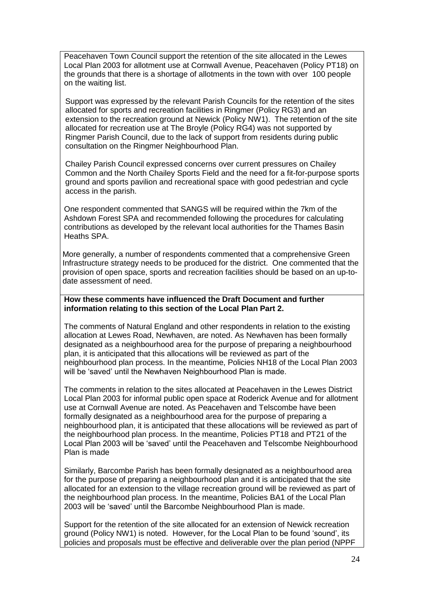Peacehaven Town Council support the retention of the site allocated in the Lewes Local Plan 2003 for allotment use at Cornwall Avenue, Peacehaven (Policy PT18) on the grounds that there is a shortage of allotments in the town with over 100 people on the waiting list.

Support was expressed by the relevant Parish Councils for the retention of the sites allocated for sports and recreation facilities in Ringmer (Policy RG3) and an extension to the recreation ground at Newick (Policy NW1). The retention of the site allocated for recreation use at The Broyle (Policy RG4) was not supported by Ringmer Parish Council, due to the lack of support from residents during public consultation on the Ringmer Neighbourhood Plan.

Chailey Parish Council expressed concerns over current pressures on Chailey Common and the North Chailey Sports Field and the need for a fit-for-purpose sports ground and sports pavilion and recreational space with good pedestrian and cycle access in the parish.

One respondent commented that SANGS will be required within the 7km of the Ashdown Forest SPA and recommended following the procedures for calculating contributions as developed by the relevant local authorities for the Thames Basin Heaths SPA.

More generally, a number of respondents commented that a comprehensive Green Infrastructure strategy needs to be produced for the district. One commented that the provision of open space, sports and recreation facilities should be based on an up-todate assessment of need.

#### **How these comments have influenced the Draft Document and further information relating to this section of the Local Plan Part 2.**

The comments of Natural England and other respondents in relation to the existing allocation at Lewes Road, Newhaven, are noted. As Newhaven has been formally designated as a neighbourhood area for the purpose of preparing a neighbourhood plan, it is anticipated that this allocations will be reviewed as part of the neighbourhood plan process. In the meantime, Policies NH18 of the Local Plan 2003 will be 'saved' until the Newhaven Neighbourhood Plan is made.

The comments in relation to the sites allocated at Peacehaven in the Lewes District Local Plan 2003 for informal public open space at Roderick Avenue and for allotment use at Cornwall Avenue are noted. As Peacehaven and Telscombe have been formally designated as a neighbourhood area for the purpose of preparing a neighbourhood plan, it is anticipated that these allocations will be reviewed as part of the neighbourhood plan process. In the meantime, Policies PT18 and PT21 of the Local Plan 2003 will be 'saved' until the Peacehaven and Telscombe Neighbourhood Plan is made

Similarly, Barcombe Parish has been formally designated as a neighbourhood area for the purpose of preparing a neighbourhood plan and it is anticipated that the site allocated for an extension to the village recreation ground will be reviewed as part of the neighbourhood plan process. In the meantime, Policies BA1 of the Local Plan 2003 will be 'saved' until the Barcombe Neighbourhood Plan is made.

Support for the retention of the site allocated for an extension of Newick recreation ground (Policy NW1) is noted. However, for the Local Plan to be found 'sound', its policies and proposals must be effective and deliverable over the plan period (NPPF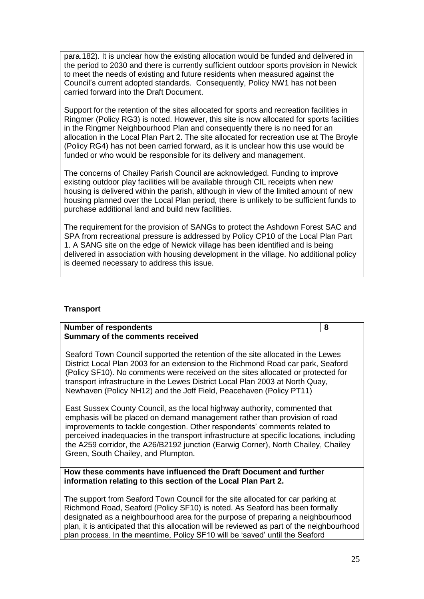para.182). It is unclear how the existing allocation would be funded and delivered in the period to 2030 and there is currently sufficient outdoor sports provision in Newick to meet the needs of existing and future residents when measured against the Council's current adopted standards. Consequently, Policy NW1 has not been carried forward into the Draft Document.

Support for the retention of the sites allocated for sports and recreation facilities in Ringmer (Policy RG3) is noted. However, this site is now allocated for sports facilities in the Ringmer Neighbourhood Plan and consequently there is no need for an allocation in the Local Plan Part 2. The site allocated for recreation use at The Broyle (Policy RG4) has not been carried forward, as it is unclear how this use would be funded or who would be responsible for its delivery and management.

The concerns of Chailey Parish Council are acknowledged. Funding to improve existing outdoor play facilities will be available through CIL receipts when new housing is delivered within the parish, although in view of the limited amount of new housing planned over the Local Plan period, there is unlikely to be sufficient funds to purchase additional land and build new facilities.

The requirement for the provision of SANGs to protect the Ashdown Forest SAC and SPA from recreational pressure is addressed by Policy CP10 of the Local Plan Part 1. A SANG site on the edge of Newick village has been identified and is being delivered in association with housing development in the village. No additional policy is deemed necessary to address this issue.

#### **Transport**

| <b>Number of respondents</b>                                                                                                                                                                                                                                                                                                                                                                                                                                 | 8 |
|--------------------------------------------------------------------------------------------------------------------------------------------------------------------------------------------------------------------------------------------------------------------------------------------------------------------------------------------------------------------------------------------------------------------------------------------------------------|---|
| <b>Summary of the comments received</b>                                                                                                                                                                                                                                                                                                                                                                                                                      |   |
| Seaford Town Council supported the retention of the site allocated in the Lewes<br>District Local Plan 2003 for an extension to the Richmond Road car park, Seaford<br>(Policy SF10). No comments were received on the sites allocated or protected for<br>transport infrastructure in the Lewes District Local Plan 2003 at North Quay,<br>Newhaven (Policy NH12) and the Joff Field, Peacehaven (Policy PT11)                                              |   |
| East Sussex County Council, as the local highway authority, commented that<br>emphasis will be placed on demand management rather than provision of road<br>improvements to tackle congestion. Other respondents' comments related to<br>perceived inadequacies in the transport infrastructure at specific locations, including<br>the A259 corridor, the A26/B2192 junction (Earwig Corner), North Chailey, Chailey<br>Green, South Chailey, and Plumpton. |   |
| How these comments have influenced the Draft Document and further<br>information relating to this section of the Local Plan Part 2.                                                                                                                                                                                                                                                                                                                          |   |

The support from Seaford Town Council for the site allocated for car parking at Richmond Road, Seaford (Policy SF10) is noted. As Seaford has been formally designated as a neighbourhood area for the purpose of preparing a neighbourhood plan, it is anticipated that this allocation will be reviewed as part of the neighbourhood plan process. In the meantime, Policy SF10 will be 'saved' until the Seaford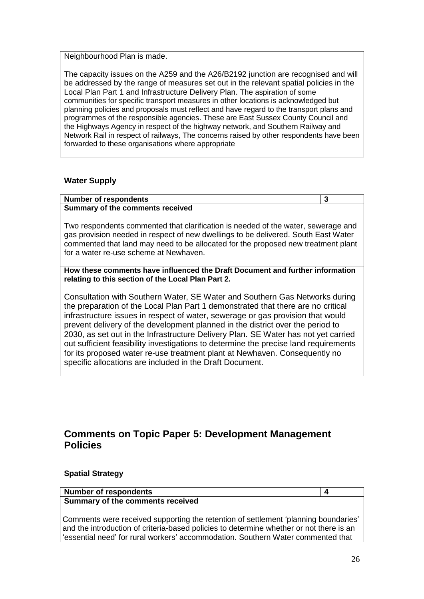Neighbourhood Plan is made.

The capacity issues on the A259 and the A26/B2192 junction are recognised and will be addressed by the range of measures set out in the relevant spatial policies in the Local Plan Part 1 and Infrastructure Delivery Plan. The aspiration of some communities for specific transport measures in other locations is acknowledged but planning policies and proposals must reflect and have regard to the transport plans and programmes of the responsible agencies. These are East Sussex County Council and the Highways Agency in respect of the highway network, and Southern Railway and Network Rail in respect of railways, The concerns raised by other respondents have been forwarded to these organisations where appropriate

## **Water Supply**

#### **Number of respondents 3 Summary of the comments received**

Two respondents commented that clarification is needed of the water, sewerage and gas provision needed in respect of new dwellings to be delivered. South East Water commented that land may need to be allocated for the proposed new treatment plant for a water re-use scheme at Newhaven.

**How these comments have influenced the Draft Document and further information relating to this section of the Local Plan Part 2.**

Consultation with Southern Water, SE Water and Southern Gas Networks during the preparation of the Local Plan Part 1 demonstrated that there are no critical infrastructure issues in respect of water, sewerage or gas provision that would prevent delivery of the development planned in the district over the period to 2030, as set out in the Infrastructure Delivery Plan. SE Water has not yet carried out sufficient feasibility investigations to determine the precise land requirements for its proposed water re-use treatment plant at Newhaven. Consequently no specific allocations are included in the Draft Document.

# **Comments on Topic Paper 5: Development Management Policies**

#### **Spatial Strategy**

#### **Number of respondents 4 Summary of the comments received**

Comments were received supporting the retention of settlement 'planning boundaries' and the introduction of criteria-based policies to determine whether or not there is an 'essential need' for rural workers' accommodation. Southern Water commented that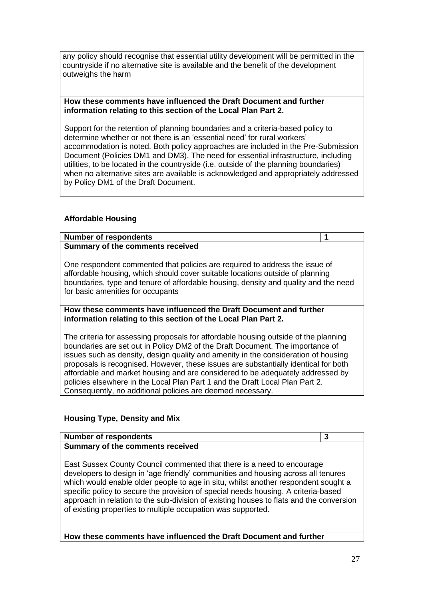any policy should recognise that essential utility development will be permitted in the countryside if no alternative site is available and the benefit of the development outweighs the harm

#### **How these comments have influenced the Draft Document and further information relating to this section of the Local Plan Part 2.**

Support for the retention of planning boundaries and a criteria-based policy to determine whether or not there is an 'essential need' for rural workers' accommodation is noted. Both policy approaches are included in the Pre-Submission Document (Policies DM1 and DM3). The need for essential infrastructure, including utilities, to be located in the countryside (i.e. outside of the planning boundaries) when no alternative sites are available is acknowledged and appropriately addressed by Policy DM1 of the Draft Document.

## **Affordable Housing**

#### **Number of respondents 1 Summary of the comments received**

One respondent commented that policies are required to address the issue of affordable housing, which should cover suitable locations outside of planning boundaries, type and tenure of affordable housing, density and quality and the need for basic amenities for occupants

#### **How these comments have influenced the Draft Document and further information relating to this section of the Local Plan Part 2.**

The criteria for assessing proposals for affordable housing outside of the planning boundaries are set out in Policy DM2 of the Draft Document. The importance of issues such as density, design quality and amenity in the consideration of housing proposals is recognised. However, these issues are substantially identical for both affordable and market housing and are considered to be adequately addressed by policies elsewhere in the Local Plan Part 1 and the Draft Local Plan Part 2. Consequently, no additional policies are deemed necessary.

#### **Housing Type, Density and Mix**

#### **Number of respondents 3 Summary of the comments received**

East Sussex County Council commented that there is a need to encourage developers to design in 'age friendly' communities and housing across all tenures which would enable older people to age in situ, whilst another respondent sought a specific policy to secure the provision of special needs housing. A criteria-based approach in relation to the sub-division of existing houses to flats and the conversion of existing properties to multiple occupation was supported.

**How these comments have influenced the Draft Document and further**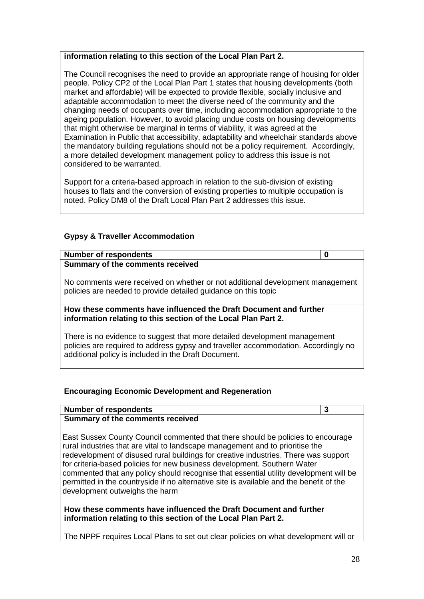#### **information relating to this section of the Local Plan Part 2.**

The Council recognises the need to provide an appropriate range of housing for older people. Policy CP2 of the Local Plan Part 1 states that housing developments (both market and affordable) will be expected to provide flexible, socially inclusive and adaptable accommodation to meet the diverse need of the community and the changing needs of occupants over time, including accommodation appropriate to the ageing population. However, to avoid placing undue costs on housing developments that might otherwise be marginal in terms of viability, it was agreed at the Examination in Public that accessibility, adaptability and wheelchair standards above the mandatory building regulations should not be a policy requirement. Accordingly, a more detailed development management policy to address this issue is not considered to be warranted.

Support for a criteria-based approach in relation to the sub-division of existing houses to flats and the conversion of existing properties to multiple occupation is noted. Policy DM8 of the Draft Local Plan Part 2 addresses this issue.

## **Gypsy & Traveller Accommodation**

| <b>Number of respondents</b>                                                                                                                    | ŋ |
|-------------------------------------------------------------------------------------------------------------------------------------------------|---|
| Summary of the comments received                                                                                                                |   |
| No comments were received on whether or not additional development management<br>policies are needed to provide detailed guidance on this topic |   |
| How these comments have influenced the Draft Document and further<br>information relating to this section of the Local Plan Part 2.             |   |
| There is no ovidence to suggest that more detailed development management                                                                       |   |

no evidence to suggest that more detailed development management policies are required to address gypsy and traveller accommodation. Accordingly no additional policy is included in the Draft Document.

#### **Encouraging Economic Development and Regeneration**

#### **Number of respondents 3**

#### **Summary of the comments received**

East Sussex County Council commented that there should be policies to encourage rural industries that are vital to landscape management and to prioritise the redevelopment of disused rural buildings for creative industries. There was support for criteria-based policies for new business development. Southern Water commented that any policy should recognise that essential utility development will be permitted in the countryside if no alternative site is available and the benefit of the development outweighs the harm

**How these comments have influenced the Draft Document and further information relating to this section of the Local Plan Part 2.**

The NPPF requires Local Plans to set out clear policies on what development will or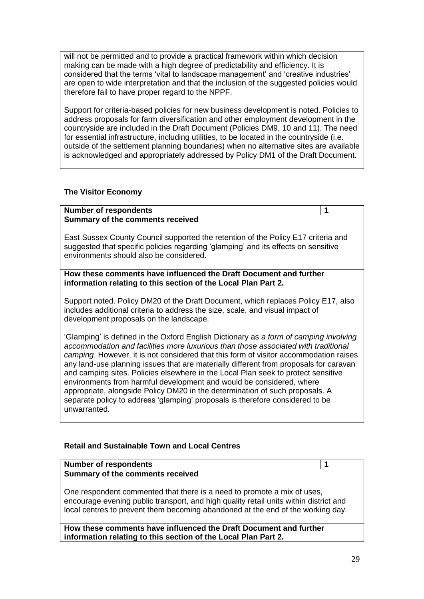will not be permitted and to provide a practical framework within which decision making can be made with a high degree of predictability and efficiency. It is considered that the terms 'vital to landscape management' and 'creative industries' are open to wide interpretation and that the inclusion of the suggested policies would therefore fail to have proper regard to the NPPF.

Support for criteria-based policies for new business development is noted. Policies to address proposals for farm diversification and other employment development in the countryside are included in the Draft Document (Policies DM9, 10 and 11). The need for essential infrastructure, including utilities, to be located in the countryside (i.e. outside of the settlement planning boundaries) when no alternative sites are available is acknowledged and appropriately addressed by Policy DM1 of the Draft Document.

#### **The Visitor Economy**

# **Number of respondents 1**

#### **Summary of the comments received**

East Sussex County Council supported the retention of the Policy E17 criteria and suggested that specific policies regarding 'glamping' and its effects on sensitive environments should also be considered.

**How these comments have influenced the Draft Document and further information relating to this section of the Local Plan Part 2.**

Support noted. Policy DM20 of the Draft Document, which replaces Policy E17, also includes additional criteria to address the size, scale, and visual impact of development proposals on the landscape.

'Glamping' is defined in the Oxford English Dictionary as *a form of camping involving accommodation and facilities more luxurious than those associated with traditional camping*. However, it is not considered that this form of visitor accommodation raises any land-use planning issues that are materially different from proposals for caravan and camping sites. Policies elsewhere in the Local Plan seek to protect sensitive environments from harmful development and would be considered, where appropriate, alongside Policy DM20 in the determination of such proposals. A separate policy to address 'glamping' proposals is therefore considered to be unwarranted.

# **Retail and Sustainable Town and Local Centres**

| <b>Number of respondents</b>                                                                                                                                                                                                                        |  |
|-----------------------------------------------------------------------------------------------------------------------------------------------------------------------------------------------------------------------------------------------------|--|
| Summary of the comments received                                                                                                                                                                                                                    |  |
| One respondent commented that there is a need to promote a mix of uses,<br>encourage evening public transport, and high quality retail units within district and<br>local centres to prevent them becoming abandoned at the end of the working day. |  |
| How these comments have influenced the Draft Document and further                                                                                                                                                                                   |  |

**information relating to this section of the Local Plan Part 2.**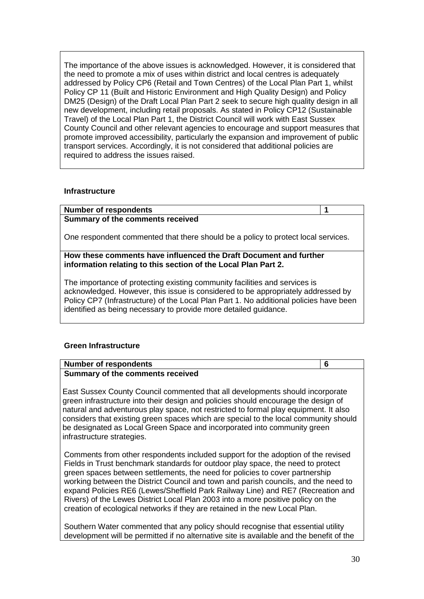The importance of the above issues is acknowledged. However, it is considered that the need to promote a mix of uses within district and local centres is adequately addressed by Policy CP6 (Retail and Town Centres) of the Local Plan Part 1, whilst Policy CP 11 (Built and Historic Environment and High Quality Design) and Policy DM25 (Design) of the Draft Local Plan Part 2 seek to secure high quality design in all new development, including retail proposals. As stated in Policy CP12 (Sustainable Travel) of the Local Plan Part 1, the District Council will work with East Sussex County Council and other relevant agencies to encourage and support measures that promote improved accessibility, particularly the expansion and improvement of public transport services. Accordingly, it is not considered that additional policies are required to address the issues raised.

#### **Infrastructure**

**Number of respondents 1 Summary of the comments received**

One respondent commented that there should be a policy to protect local services.

## **How these comments have influenced the Draft Document and further information relating to this section of the Local Plan Part 2.**

The importance of protecting existing community facilities and services is acknowledged. However, this issue is considered to be appropriately addressed by Policy CP7 (Infrastructure) of the Local Plan Part 1. No additional policies have been identified as being necessary to provide more detailed guidance.

# **Green Infrastructure**

| <b>Number of respondents</b>            |  |
|-----------------------------------------|--|
| <b>Summary of the comments received</b> |  |

East Sussex County Council commented that all developments should incorporate green infrastructure into their design and policies should encourage the design of natural and adventurous play space, not restricted to formal play equipment. It also considers that existing green spaces which are special to the local community should be designated as Local Green Space and incorporated into community green infrastructure strategies.

Comments from other respondents included support for the adoption of the revised Fields in Trust benchmark standards for outdoor play space, the need to protect green spaces between settlements, the need for policies to cover partnership working between the District Council and town and parish councils, and the need to expand Policies RE6 (Lewes/Sheffield Park Railway Line) and RE7 (Recreation and Rivers) of the Lewes District Local Plan 2003 into a more positive policy on the creation of ecological networks if they are retained in the new Local Plan.

Southern Water commented that any policy should recognise that essential utility development will be permitted if no alternative site is available and the benefit of the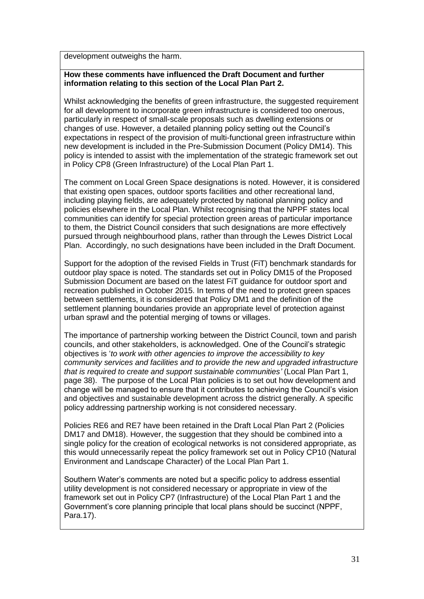development outweighs the harm.

#### **How these comments have influenced the Draft Document and further information relating to this section of the Local Plan Part 2.**

Whilst acknowledging the benefits of green infrastructure, the suggested requirement for all development to incorporate green infrastructure is considered too onerous, particularly in respect of small-scale proposals such as dwelling extensions or changes of use. However, a detailed planning policy setting out the Council's expectations in respect of the provision of multi-functional green infrastructure within new development is included in the Pre-Submission Document (Policy DM14). This policy is intended to assist with the implementation of the strategic framework set out in Policy CP8 (Green Infrastructure) of the Local Plan Part 1.

The comment on Local Green Space designations is noted. However, it is considered that existing open spaces, outdoor sports facilities and other recreational land, including playing fields, are adequately protected by national planning policy and policies elsewhere in the Local Plan. Whilst recognising that the NPPF states local communities can identify for special protection green areas of particular importance to them, the District Council considers that such designations are more effectively pursued through neighbourhood plans, rather than through the Lewes District Local Plan. Accordingly, no such designations have been included in the Draft Document.

Support for the adoption of the revised Fields in Trust (FiT) benchmark standards for outdoor play space is noted. The standards set out in Policy DM15 of the Proposed Submission Document are based on the latest FiT guidance for outdoor sport and recreation published in October 2015. In terms of the need to protect green spaces between settlements, it is considered that Policy DM1 and the definition of the settlement planning boundaries provide an appropriate level of protection against urban sprawl and the potential merging of towns or villages.

The importance of partnership working between the District Council, town and parish councils, and other stakeholders, is acknowledged. One of the Council's strategic objectives is '*to work with other agencies to improve the accessibility to key community services and facilities and to provide the new and upgraded infrastructure that is required to create and support sustainable communities'* (Local Plan Part 1, page 38).The purpose of the Local Plan policies is to set out how development and change will be managed to ensure that it contributes to achieving the Council's vision and objectives and sustainable development across the district generally. A specific policy addressing partnership working is not considered necessary.

Policies RE6 and RE7 have been retained in the Draft Local Plan Part 2 (Policies DM17 and DM18). However, the suggestion that they should be combined into a single policy for the creation of ecological networks is not considered appropriate, as this would unnecessarily repeat the policy framework set out in Policy CP10 (Natural Environment and Landscape Character) of the Local Plan Part 1.

Southern Water's comments are noted but a specific policy to address essential utility development is not considered necessary or appropriate in view of the framework set out in Policy CP7 (Infrastructure) of the Local Plan Part 1 and the Government's core planning principle that local plans should be succinct (NPPF, Para.17).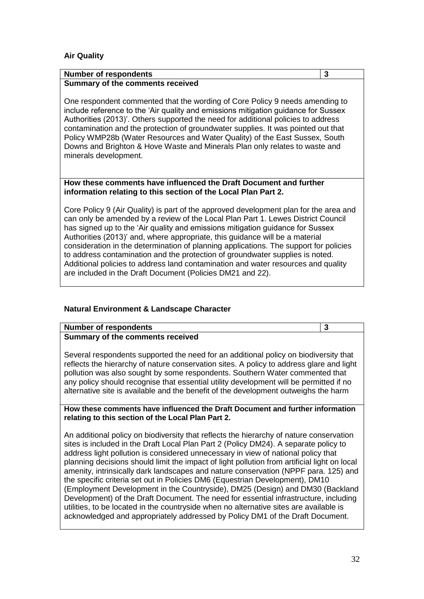## **Air Quality**

# **Number of respondents 3**

**Summary of the comments received**

One respondent commented that the wording of Core Policy 9 needs amending to include reference to the 'Air quality and emissions mitigation guidance for Sussex Authorities (2013)'. Others supported the need for additional policies to address contamination and the protection of groundwater supplies. It was pointed out that Policy WMP28b (Water Resources and Water Quality) of the East Sussex, South Downs and Brighton & Hove Waste and Minerals Plan only relates to waste and minerals development.

#### **How these comments have influenced the Draft Document and further information relating to this section of the Local Plan Part 2.**

Core Policy 9 (Air Quality) is part of the approved development plan for the area and can only be amended by a review of the Local Plan Part 1. Lewes District Council has signed up to the 'Air quality and emissions mitigation guidance for Sussex Authorities (2013)' and, where appropriate, this guidance will be a material consideration in the determination of planning applications. The support for policies to address contamination and the protection of groundwater supplies is noted. Additional policies to address land contamination and water resources and quality are included in the Draft Document (Policies DM21 and 22).

# **Natural Environment & Landscape Character**

# **Number of respondents 3**

# **Summary of the comments received**

Several respondents supported the need for an additional policy on biodiversity that reflects the hierarchy of nature conservation sites. A policy to address glare and light pollution was also sought by some respondents. Southern Water commented that any policy should recognise that essential utility development will be permitted if no alternative site is available and the benefit of the development outweighs the harm

#### **How these comments have influenced the Draft Document and further information relating to this section of the Local Plan Part 2.**

An additional policy on biodiversity that reflects the hierarchy of nature conservation sites is included in the Draft Local Plan Part 2 (Policy DM24). A separate policy to address light pollution is considered unnecessary in view of national policy that planning decisions should limit the impact of light pollution from artificial light on local amenity, intrinsically dark landscapes and nature conservation (NPPF para. 125) and the specific criteria set out in Policies DM6 (Equestrian Development), DM10 (Employment Development in the Countryside), DM25 (Design) and DM30 (Backland Development) of the Draft Document. The need for essential infrastructure, including utilities, to be located in the countryside when no alternative sites are available is acknowledged and appropriately addressed by Policy DM1 of the Draft Document.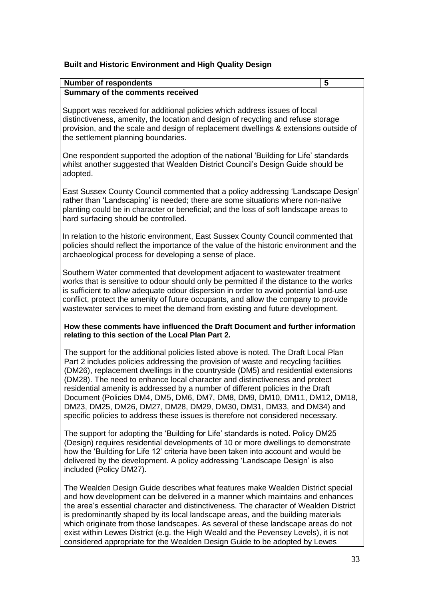## **Built and Historic Environment and High Quality Design**

| <b>Number of respondents</b>                                                                                                                                                                                                                                                                                                                                                                                                                                                                                                                                                                                                                                             | 5 |
|--------------------------------------------------------------------------------------------------------------------------------------------------------------------------------------------------------------------------------------------------------------------------------------------------------------------------------------------------------------------------------------------------------------------------------------------------------------------------------------------------------------------------------------------------------------------------------------------------------------------------------------------------------------------------|---|
| Summary of the comments received                                                                                                                                                                                                                                                                                                                                                                                                                                                                                                                                                                                                                                         |   |
| Support was received for additional policies which address issues of local<br>distinctiveness, amenity, the location and design of recycling and refuse storage<br>provision, and the scale and design of replacement dwellings & extensions outside of<br>the settlement planning boundaries.                                                                                                                                                                                                                                                                                                                                                                           |   |
| One respondent supported the adoption of the national 'Building for Life' standards<br>whilst another suggested that Wealden District Council's Design Guide should be<br>adopted.                                                                                                                                                                                                                                                                                                                                                                                                                                                                                       |   |
| East Sussex County Council commented that a policy addressing 'Landscape Design'<br>rather than 'Landscaping' is needed; there are some situations where non-native<br>planting could be in character or beneficial; and the loss of soft landscape areas to<br>hard surfacing should be controlled.                                                                                                                                                                                                                                                                                                                                                                     |   |
| In relation to the historic environment, East Sussex County Council commented that<br>policies should reflect the importance of the value of the historic environment and the<br>archaeological process for developing a sense of place.                                                                                                                                                                                                                                                                                                                                                                                                                                 |   |
| Southern Water commented that development adjacent to wastewater treatment<br>works that is sensitive to odour should only be permitted if the distance to the works<br>is sufficient to allow adequate odour dispersion in order to avoid potential land-use<br>conflict, protect the amenity of future occupants, and allow the company to provide<br>wastewater services to meet the demand from existing and future development.                                                                                                                                                                                                                                     |   |
| How these comments have influenced the Draft Document and further information<br>relating to this section of the Local Plan Part 2.                                                                                                                                                                                                                                                                                                                                                                                                                                                                                                                                      |   |
| The support for the additional policies listed above is noted. The Draft Local Plan<br>Part 2 includes policies addressing the provision of waste and recycling facilities<br>(DM26), replacement dwellings in the countryside (DM5) and residential extensions<br>(DM28). The need to enhance local character and distinctiveness and protect<br>residential amenity is addressed by a number of different policies in the Draft<br>Document (Policies DM4, DM5, DM6, DM7, DM8, DM9, DM10, DM11, DM12, DM18,<br>DM23, DM25, DM26, DM27, DM28, DM29, DM30, DM31, DM33, and DM34) and<br>specific policies to address these issues is therefore not considered necessary. |   |
| The support for adopting the 'Building for Life' standards is noted. Policy DM25<br>(Design) requires residential developments of 10 or more dwellings to demonstrate<br>how the 'Building for Life 12' criteria have been taken into account and would be<br>delivered by the development. A policy addressing 'Landscape Design' is also<br>included (Policy DM27).                                                                                                                                                                                                                                                                                                    |   |
| The Wealden Design Guide describes what features make Wealden District special                                                                                                                                                                                                                                                                                                                                                                                                                                                                                                                                                                                           |   |

and how development can be delivered in a manner which maintains and enhances the area's essential character and distinctiveness. The character of Wealden District is predominantly shaped by its local landscape areas, and the building materials which originate from those landscapes. As several of these landscape areas do not exist within Lewes District (e.g. the High Weald and the Pevensey Levels), it is not considered appropriate for the Wealden Design Guide to be adopted by Lewes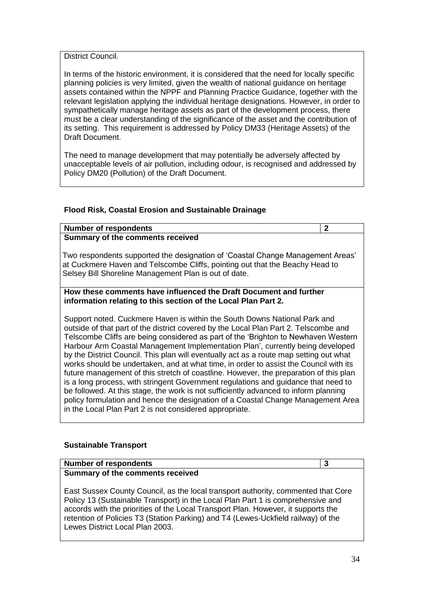District Council.

In terms of the historic environment, it is considered that the need for locally specific planning policies is very limited, given the wealth of national guidance on heritage assets contained within the NPPF and Planning Practice Guidance, together with the relevant legislation applying the individual heritage designations. However, in order to sympathetically manage heritage assets as part of the development process, there must be a clear understanding of the significance of the asset and the contribution of its setting. This requirement is addressed by Policy DM33 (Heritage Assets) of the Draft Document.

The need to manage development that may potentially be adversely affected by unacceptable levels of air pollution, including odour, is recognised and addressed by Policy DM20 (Pollution) of the Draft Document.

## **Flood Risk, Coastal Erosion and Sustainable Drainage**

| <b>Number of respondents</b>                                                                                                                                                                                                                                                                                                                                                                                                                                                                                                                                                                                                                                                                                                                                                                                                                                                                                                                       | $\mathbf{2}$ |  |
|----------------------------------------------------------------------------------------------------------------------------------------------------------------------------------------------------------------------------------------------------------------------------------------------------------------------------------------------------------------------------------------------------------------------------------------------------------------------------------------------------------------------------------------------------------------------------------------------------------------------------------------------------------------------------------------------------------------------------------------------------------------------------------------------------------------------------------------------------------------------------------------------------------------------------------------------------|--------------|--|
| <b>Summary of the comments received</b>                                                                                                                                                                                                                                                                                                                                                                                                                                                                                                                                                                                                                                                                                                                                                                                                                                                                                                            |              |  |
| Two respondents supported the designation of 'Coastal Change Management Areas'<br>at Cuckmere Haven and Telscombe Cliffs, pointing out that the Beachy Head to<br>Selsey Bill Shoreline Management Plan is out of date.                                                                                                                                                                                                                                                                                                                                                                                                                                                                                                                                                                                                                                                                                                                            |              |  |
| How these comments have influenced the Draft Document and further                                                                                                                                                                                                                                                                                                                                                                                                                                                                                                                                                                                                                                                                                                                                                                                                                                                                                  |              |  |
| information relating to this section of the Local Plan Part 2.                                                                                                                                                                                                                                                                                                                                                                                                                                                                                                                                                                                                                                                                                                                                                                                                                                                                                     |              |  |
| Support noted. Cuckmere Haven is within the South Downs National Park and<br>outside of that part of the district covered by the Local Plan Part 2. Telscombe and<br>Telscombe Cliffs are being considered as part of the 'Brighton to Newhaven Western<br>Harbour Arm Coastal Management Implementation Plan', currently being developed<br>by the District Council. This plan will eventually act as a route map setting out what<br>works should be undertaken, and at what time, in order to assist the Council with its<br>future management of this stretch of coastline. However, the preparation of this plan<br>is a long process, with stringent Government regulations and guidance that need to<br>be followed. At this stage, the work is not sufficiently advanced to inform planning<br>policy formulation and hence the designation of a Coastal Change Management Area<br>in the Local Plan Part 2 is not considered appropriate. |              |  |

# **Sustainable Transport**

#### **Number of respondents 3 Summary of the comments received**

East Sussex County Council, as the local transport authority, commented that Core Policy 13 (Sustainable Transport) in the Local Plan Part 1 is comprehensive and accords with the priorities of the Local Transport Plan. However, it supports the retention of Policies T3 (Station Parking) and T4 (Lewes-Uckfield railway) of the Lewes District Local Plan 2003.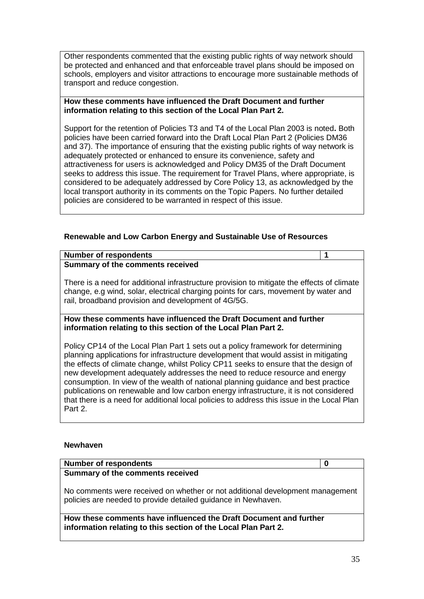Other respondents commented that the existing public rights of way network should be protected and enhanced and that enforceable travel plans should be imposed on schools, employers and visitor attractions to encourage more sustainable methods of transport and reduce congestion.

#### **How these comments have influenced the Draft Document and further information relating to this section of the Local Plan Part 2.**

Support for the retention of Policies T3 and T4 of the Local Plan 2003 is noted**.** Both policies have been carried forward into the Draft Local Plan Part 2 (Policies DM36 and 37). The importance of ensuring that the existing public rights of way network is adequately protected or enhanced to ensure its convenience, safety and attractiveness for users is acknowledged and Policy DM35 of the Draft Document seeks to address this issue. The requirement for Travel Plans, where appropriate, is considered to be adequately addressed by Core Policy 13, as acknowledged by the local transport authority in its comments on the Topic Papers. No further detailed policies are considered to be warranted in respect of this issue.

# **Renewable and Low Carbon Energy and Sustainable Use of Resources**

#### **Number of respondents 1**

#### **Summary of the comments received**

There is a need for additional infrastructure provision to mitigate the effects of climate change, e.g wind, solar, electrical charging points for cars, movement by water and rail, broadband provision and development of 4G/5G.

#### **How these comments have influenced the Draft Document and further information relating to this section of the Local Plan Part 2.**

Policy CP14 of the Local Plan Part 1 sets out a policy framework for determining planning applications for infrastructure development that would assist in mitigating the effects of climate change, whilst Policy CP11 seeks to ensure that the design of new development adequately addresses the need to reduce resource and energy consumption. In view of the wealth of national planning guidance and best practice publications on renewable and low carbon energy infrastructure, it is not considered that there is a need for additional local policies to address this issue in the Local Plan Part 2.

#### **Newhaven**

| Number of respondents            |  |
|----------------------------------|--|
| Summary of the comments received |  |

No comments were received on whether or not additional development management policies are needed to provide detailed guidance in Newhaven.

**How these comments have influenced the Draft Document and further information relating to this section of the Local Plan Part 2.**